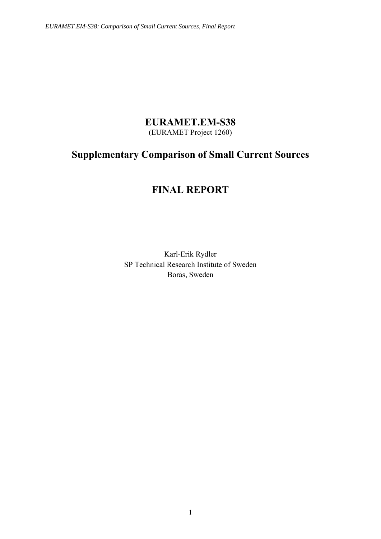## **EURAMET.EM-S38**

(EURAMET Project 1260)

# **Supplementary Comparison of Small Current Sources**

# **FINAL REPORT**

Karl-Erik Rydler SP Technical Research Institute of Sweden Borås, Sweden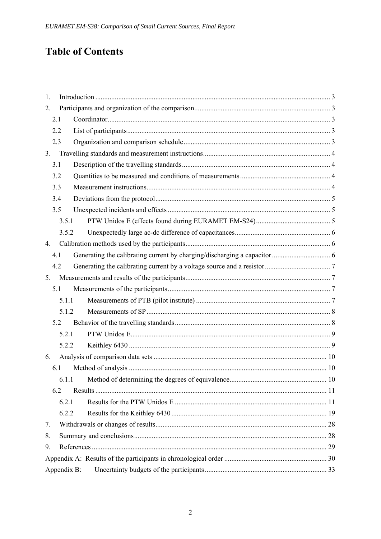# **Table of Contents**

| $\overline{1}$ . |             |  |
|------------------|-------------|--|
| 2.               |             |  |
| 2.1              |             |  |
| 2.2              |             |  |
|                  | 2.3         |  |
| 3.               |             |  |
| 3.1              |             |  |
|                  | 3.2         |  |
| 3.3              |             |  |
|                  | 3.4         |  |
|                  | 3.5         |  |
|                  | 3.5.1       |  |
|                  | 3.5.2       |  |
| 4.               |             |  |
| 4.1              |             |  |
| 4.2              |             |  |
| 5.               |             |  |
| 5.1              |             |  |
|                  | 5.1.1       |  |
|                  | 5.1.2       |  |
|                  | 5.2         |  |
|                  | 5.2.1       |  |
|                  | 5.2.2       |  |
| 6.               |             |  |
|                  | 6.1         |  |
|                  |             |  |
|                  | 6.2         |  |
|                  | 6.2.1       |  |
|                  | 6.2.2       |  |
| 7.               |             |  |
| 8.               |             |  |
| 9.               |             |  |
|                  |             |  |
|                  | Appendix B: |  |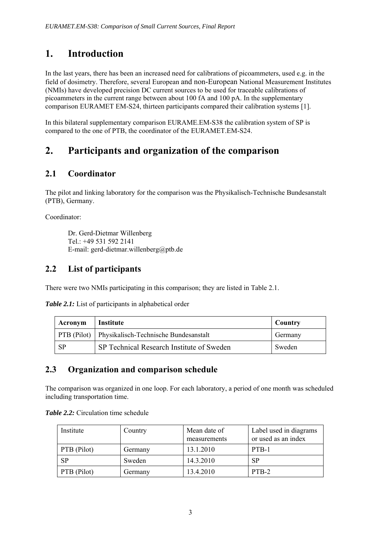# **1. Introduction**

In the last years, there has been an increased need for calibrations of picoammeters, used e.g. in the field of dosimetry. Therefore, several European and non-European National Measurement Institutes (NMIs) have developed precision DC current sources to be used for traceable calibrations of picoammeters in the current range between about 100 fA and 100 pA. In the supplementary comparison EURAMET EM-S24, thirteen participants compared their calibration systems [1].

In this bilateral supplementary comparison EURAME.EM-S38 the calibration system of SP is compared to the one of PTB, the coordinator of the EURAMET.EM-S24.

# **2. Participants and organization of the comparison**

## **2.1 Coordinator**

The pilot and linking laboratory for the comparison was the Physikalisch-Technische Bundesanstalt (PTB), Germany.

Coordinator:

Dr. Gerd-Dietmar Willenberg Tel.: +49 531 592 2141 E-mail: gerd-dietmar.willenberg@ptb.de

## **2.2 List of participants**

There were two NMIs participating in this comparison; they are listed in Table 2.1.

*Table 2.1:* List of participants in alphabetical order

| Acronym | <b>Institute</b>                                         | Country |
|---------|----------------------------------------------------------|---------|
|         | <b>PTB</b> (Pilot) Physikalisch-Technische Bundesanstalt | Germany |
| - SP    | <b>SP Technical Research Institute of Sweden</b>         | Sweden  |

## **2.3 Organization and comparison schedule**

The comparison was organized in one loop. For each laboratory, a period of one month was scheduled including transportation time.

| <b>Table 2.2:</b> Circulation time schedule |  |
|---------------------------------------------|--|
|---------------------------------------------|--|

| Institute          | Country | Mean date of<br>measurements | Label used in diagrams<br>or used as an index |
|--------------------|---------|------------------------------|-----------------------------------------------|
| $PTB$ (Pilot)      | Germany | 13.1.2010                    | PTB-1                                         |
| <b>SP</b>          | Sweden  | 14.3.2010                    | <b>SP</b>                                     |
| <b>PTB</b> (Pilot) | Germany | 13.4.2010                    | PTB-2                                         |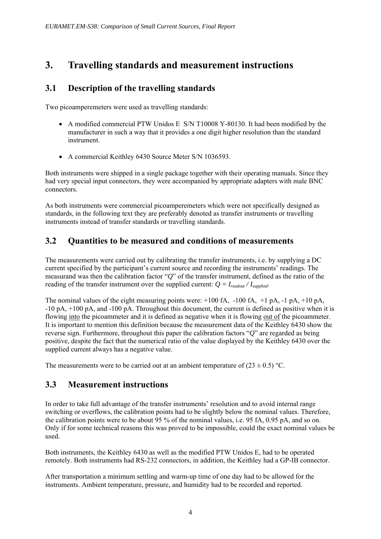# **3. Travelling standards and measurement instructions**

## **3.1 Description of the travelling standards**

Two picoamperemeters were used as travelling standards:

- A modified commercial PTW Unidos E S/N T10008 Y-80130. It had been modified by the manufacturer in such a way that it provides a one digit higher resolution than the standard instrument.
- A commercial Keithley 6430 Source Meter S/N 1036593.

Both instruments were shipped in a single package together with their operating manuals. Since they had very special input connectors, they were accompanied by appropriate adapters with male BNC connectors.

As both instruments were commercial picoamperemeters which were not specifically designed as standards, in the following text they are preferably denoted as transfer instruments or travelling instruments instead of transfer standards or travelling standards.

## **3.2 Quantities to be measured and conditions of measurements**

The measurements were carried out by calibrating the transfer instruments, i.e. by supplying a DC current specified by the participant's current source and recording the instruments' readings. The measurand was then the calibration factor "*Q*" of the transfer instrument, defined as the ratio of the reading of the transfer instrument over the supplied current:  $Q = I_{readout} / I_{sumplied}$ .

The nominal values of the eight measuring points were:  $+100$  fA,  $-100$  fA,  $+1$  pA,  $-1$  pA,  $+10$  pA, -10 pA, +100 pA, and -100 pA. Throughout this document, the current is defined as positive when it is flowing into the picoammeter and it is defined as negative when it is flowing out of the picoammeter. It is important to mention this definition because the measurement data of the Keithley 6430 show the reverse sign. Furthermore, throughout this paper the calibration factors "*Q*" are regarded as being positive, despite the fact that the numerical ratio of the value displayed by the Keithley 6430 over the supplied current always has a negative value.

The measurements were to be carried out at an ambient temperature of  $(23 \pm 0.5)$  °C.

## **3.3 Measurement instructions**

In order to take full advantage of the transfer instruments' resolution and to avoid internal range switching or overflows, the calibration points had to be slightly below the nominal values. Therefore, the calibration points were to be about 95 % of the nominal values, i.e. 95 fA, 0.95 pA, and so on. Only if for some technical reasons this was proved to be impossible, could the exact nominal values be used.

Both instruments, the Keithley 6430 as well as the modified PTW Unidos E, had to be operated remotely. Both instruments had RS-232 connectors, in addition, the Keithley had a GP-IB connector.

After transportation a minimum settling and warm-up time of one day had to be allowed for the instruments. Ambient temperature, pressure, and humidity had to be recorded and reported.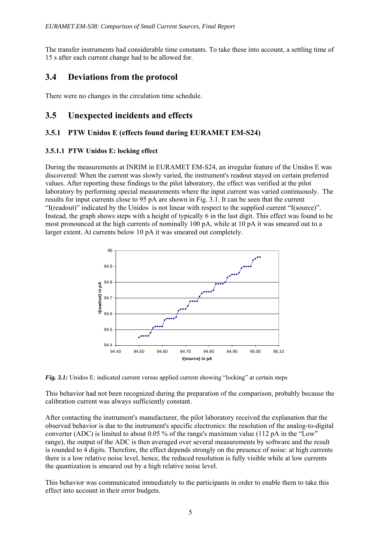The transfer instruments had considerable time constants. To take these into account, a settling time of 15 s after each current change had to be allowed for.

## **3.4 Deviations from the protocol**

There were no changes in the circulation time schedule.

## **3.5 Unexpected incidents and effects**

## **3.5.1 PTW Unidos E (effects found during EURAMET EM-S24)**

## **3.5.1.1 PTW Unidos E: locking effect**

During the measurements at INRIM in EURAMET EM-S24, an irregular feature of the Unidos E was discovered: When the current was slowly varied, the instrument's readout stayed on certain preferred values. After reporting these findings to the pilot laboratory, the effect was verified at the pilot laboratory by performing special measurements where the input current was varied continuously. The results for input currents close to 95 pA are shown in Fig. 3.1. It can be seen that the current "I(readout)" indicated by the Unidos is not linear with respect to the supplied current "I(source)". Instead, the graph shows steps with a height of typically 6 in the last digit. This effect was found to be most pronounced at the high currents of nominally 100 pA, while at 10 pA it was smeared out to a larger extent. At currents below 10 pA it was smeared out completely.



*Fig. 3.1:* Unidos E: indicated current versus applied current showing "locking" at certain steps

This behavior had not been recognized during the preparation of the comparison, probably because the calibration current was always sufficiently constant.

After contacting the instrument's manufacturer, the pilot laboratory received the explanation that the observed behavior is due to the instrument's specific electronics: the resolution of the analog-to-digital converter (ADC) is limited to about 0.05 % of the range's maximum value (112 pA in the "Low" range), the output of the ADC is then averaged over several measurements by software and the result is rounded to 4 digits. Therefore, the effect depends strongly on the presence of noise: at high currents there is a low relative noise level, hence, the reduced resolution is fully visible while at low currents the quantization is smeared out by a high relative noise level.

This behavior was communicated immediately to the participants in order to enable them to take this effect into account in their error budgets.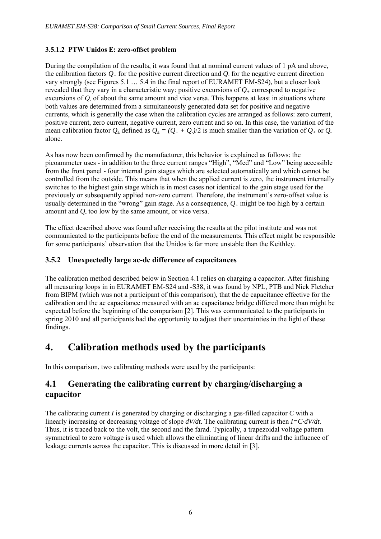## **3.5.1.2 PTW Unidos E: zero-offset problem**

During the compilation of the results, it was found that at nominal current values of 1 pA and above, the calibration factors  $Q_+$  for the positive current direction and  $Q_+$  for the negative current direction vary strongly (see Figures 5.1 … 5.4 in the final report of EURAMET EM-S24), but a closer look revealed that they vary in a characteristic way: positive excursions of *Q+* correspond to negative excursions of *Q-* of about the same amount and vice versa. This happens at least in situations where both values are determined from a simultaneously generated data set for positive and negative currents, which is generally the case when the calibration cycles are arranged as follows: zero current, positive current, zero current, negative current, zero current and so on. In this case, the variation of the mean calibration factor  $Q_+$  defined as  $Q_+ = (Q_+ + Q_-)/2$  is much smaller than the variation of  $Q_+$  or  $Q_$ alone.

As has now been confirmed by the manufacturer, this behavior is explained as follows: the picoammeter uses - in addition to the three current ranges "High", "Med" and "Low" being accessible from the front panel - four internal gain stages which are selected automatically and which cannot be controlled from the outside. This means that when the applied current is zero, the instrument internally switches to the highest gain stage which is in most cases not identical to the gain stage used for the previously or subsequently applied non-zero current. Therefore, the instrument's zero-offset value is usually determined in the "wrong" gain stage. As a consequence,  $Q_+$  might be too high by a certain amount and *Q-* too low by the same amount, or vice versa.

The effect described above was found after receiving the results at the pilot institute and was not communicated to the participants before the end of the measurements. This effect might be responsible for some participants' observation that the Unidos is far more unstable than the Keithley.

## **3.5.2 Unexpectedly large ac-dc difference of capacitances**

The calibration method described below in Section 4.1 relies on charging a capacitor. After finishing all measuring loops in in EURAMET EM-S24 and -S38, it was found by NPL, PTB and Nick Fletcher from BIPM (which was not a participant of this comparison), that the dc capacitance effective for the calibration and the ac capacitance measured with an ac capacitance bridge differed more than might be expected before the beginning of the comparison [2]. This was communicated to the participants in spring 2010 and all participants had the opportunity to adjust their uncertainties in the light of these findings.

## **4. Calibration methods used by the participants**

In this comparison, two calibrating methods were used by the participants:

## **4.1 Generating the calibrating current by charging/discharging a capacitor**

The calibrating current *I* is generated by charging or discharging a gas-filled capacitor *C* with a linearly increasing or decreasing voltage of slope *dV/dt*. The calibrating current is then *I=C·dV/dt*. Thus, it is traced back to the volt, the second and the farad. Typically, a trapezoidal voltage pattern symmetrical to zero voltage is used which allows the eliminating of linear drifts and the influence of leakage currents across the capacitor. This is discussed in more detail in [3].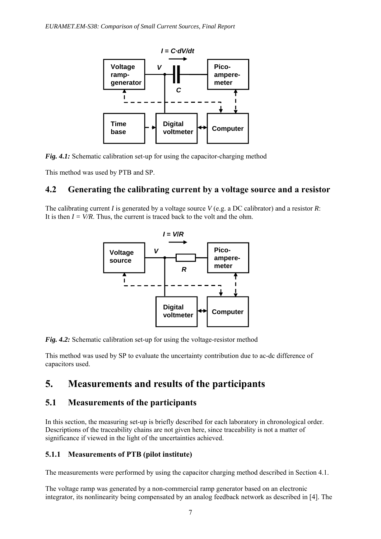

*Fig. 4.1:* Schematic calibration set-up for using the capacitor-charging method

This method was used by PTB and SP.

## **4.2 Generating the calibrating current by a voltage source and a resistor**

The calibrating current *I* is generated by a voltage source *V* (e.g. a DC calibrator) and a resistor *R*: It is then  $I = V/R$ . Thus, the current is traced back to the volt and the ohm.



*Fig. 4.2:* Schematic calibration set-up for using the voltage-resistor method

This method was used by SP to evaluate the uncertainty contribution due to ac-dc difference of capacitors used.

# **5. Measurements and results of the participants**

## **5.1 Measurements of the participants**

In this section, the measuring set-up is briefly described for each laboratory in chronological order. Descriptions of the traceability chains are not given here, since traceability is not a matter of significance if viewed in the light of the uncertainties achieved.

## **5.1.1 Measurements of PTB (pilot institute)**

The measurements were performed by using the capacitor charging method described in Section 4.1.

The voltage ramp was generated by a non-commercial ramp generator based on an electronic integrator, its nonlinearity being compensated by an analog feedback network as described in [4]. The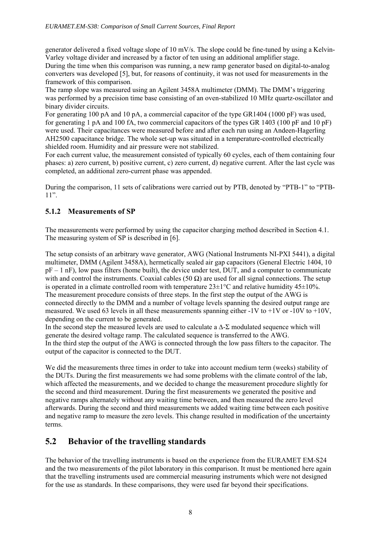generator delivered a fixed voltage slope of 10 mV/s. The slope could be fine-tuned by using a Kelvin-Varley voltage divider and increased by a factor of ten using an additional amplifier stage.

During the time when this comparison was running, a new ramp generator based on digital-to-analog converters was developed [5], but, for reasons of continuity, it was not used for measurements in the framework of this comparison.

The ramp slope was measured using an Agilent 3458A multimeter (DMM). The DMM's triggering was performed by a precision time base consisting of an oven-stabilized 10 MHz quartz-oscillator and binary divider circuits.

For generating 100 pA and 10 pA, a commercial capacitor of the type GR1404 (1000 pF) was used, for generating 1 pA and 100 fA, two commercial capacitors of the types GR 1403 (100 pF and 10 pF) were used. Their capacitances were measured before and after each run using an Andeen-Hagerling AH2500 capacitance bridge. The whole set-up was situated in a temperature-controlled electrically shielded room. Humidity and air pressure were not stabilized.

For each current value, the measurement consisted of typically 60 cycles, each of them containing four phases: a) zero current, b) positive current, c) zero current, d) negative current. After the last cycle was completed, an additional zero-current phase was appended.

During the comparison, 11 sets of calibrations were carried out by PTB, denoted by "PTB-1" to "PTB-11".

## **5.1.2 Measurements of SP**

The measurements were performed by using the capacitor charging method described in Section 4.1. The measuring system of SP is described in [6].

The setup consists of an arbitrary wave generator, AWG (National Instruments NI-PXI 5441), a digital multimeter, DMM (Agilent 3458A), hermetically sealed air gap capacitors (General Electric 1404, 10  $pF - 1$  nF), low pass filters (home built), the device under test, DUT, and a computer to communicate with and control the instruments. Coaxial cables (50  $\Omega$ ) are used for all signal connections. The setup is operated in a climate controlled room with temperature  $23\pm1\degree C$  and relative humidity  $45\pm10\%$ . The measurement procedure consists of three steps. In the first step the output of the AWG is connected directly to the DMM and a number of voltage levels spanning the desired output range are measured. We used 63 levels in all these measurements spanning either -1V to +1V or -10V to +10V, depending on the current to be generated.

In the second step the measured levels are used to calculate a  $\Delta$ -Σ modulated sequence which will generate the desired voltage ramp. The calculated sequence is transferred to the AWG. In the third step the output of the AWG is connected through the low pass filters to the capacitor. The output of the capacitor is connected to the DUT.

We did the measurements three times in order to take into account medium term (weeks) stability of the DUTs. During the first measurements we had some problems with the climate control of the lab, which affected the measurements, and we decided to change the measurement procedure slightly for the second and third measurement. During the first measurements we generated the positive and negative ramps alternately without any waiting time between, and then measured the zero level afterwards. During the second and third measurements we added waiting time between each positive and negative ramp to measure the zero levels. This change resulted in modification of the uncertainty terms.

## **5.2 Behavior of the travelling standards**

The behavior of the travelling instruments is based on the experience from the EURAMET EM-S24 and the two measurements of the pilot laboratory in this comparison. It must be mentioned here again that the travelling instruments used are commercial measuring instruments which were not designed for the use as standards. In these comparisons, they were used far beyond their specifications.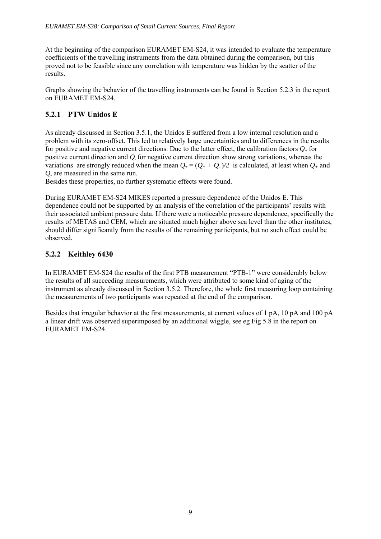At the beginning of the comparison EURAMET EM-S24, it was intended to evaluate the temperature coefficients of the travelling instruments from the data obtained during the comparison, but this proved not to be feasible since any correlation with temperature was hidden by the scatter of the results.

Graphs showing the behavior of the travelling instruments can be found in Section 5.2.3 in the report on EURAMET EM-S24.

## **5.2.1 PTW Unidos E**

As already discussed in Section 3.5.1, the Unidos E suffered from a low internal resolution and a problem with its zero-offset. This led to relatively large uncertainties and to differences in the results for positive and negative current directions. Due to the latter effect, the calibration factors  $O_{+}$  for positive current direction and *Q-* for negative current direction show strong variations, whereas the variations are strongly reduced when the mean  $Q_{+} = (Q_{+} + Q_{+})/2$  is calculated, at least when  $Q_{+}$  and *Q-* are measured in the same run.

Besides these properties, no further systematic effects were found.

During EURAMET EM-S24 MIKES reported a pressure dependence of the Unidos E. This dependence could not be supported by an analysis of the correlation of the participants' results with their associated ambient pressure data. If there were a noticeable pressure dependence, specifically the results of METAS and CEM, which are situated much higher above sea level than the other institutes, should differ significantly from the results of the remaining participants, but no such effect could be observed.

## **5.2.2 Keithley 6430**

In EURAMET EM-S24 the results of the first PTB measurement "PTB-1" were considerably below the results of all succeeding measurements, which were attributed to some kind of aging of the instrument as already discussed in Section 3.5.2. Therefore, the whole first measuring loop containing the measurements of two participants was repeated at the end of the comparison.

Besides that irregular behavior at the first measurements, at current values of 1 pA, 10 pA and 100 pA a linear drift was observed superimposed by an additional wiggle, see eg Fig 5.8 in the report on EURAMET EM-S24.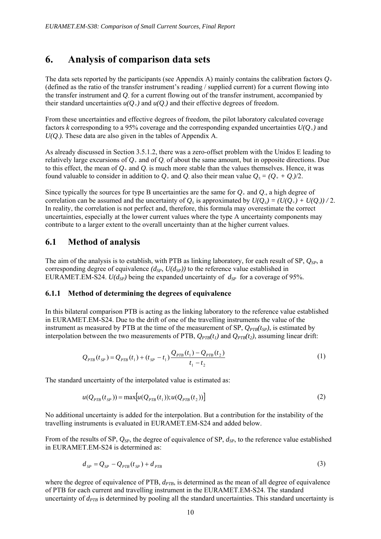## **6. Analysis of comparison data sets**

The data sets reported by the participants (see Appendix A) mainly contains the calibration factors *Q+* (defined as the ratio of the transfer instrument's reading / supplied current) for a current flowing into the transfer instrument and *Q-* for a current flowing out of the transfer instrument, accompanied by their standard uncertainties  $u(O_+)$  and  $u(O_+)$  and their effective degrees of freedom.

From these uncertainties and effective degrees of freedom, the pilot laboratory calculated coverage factors *k* corresponding to a 95% coverage and the corresponding expanded uncertainties  $U(Q_+)$  and  $U(Q)$ . These data are also given in the tables of Appendix A.

As already discussed in Section 3.5.1.2, there was a zero-offset problem with the Unidos E leading to relatively large excursions of *Q+* and of *Q-* of about the same amount, but in opposite directions. Due to this effect, the mean of  $Q_+$  and  $Q_-$  is much more stable than the values themselves. Hence, it was found valuable to consider in addition to  $Q_+$  and  $Q_-\$  also their mean value  $Q_+ = (Q_+ + Q_-)/2$ .

Since typically the sources for type B uncertainties are the same for *Q+* and *Q-*, a high degree of correlation can be assumed and the uncertainty of  $Q_+$  is approximated by  $U(Q_+) = (U(Q_+) + U(Q_-))/2$ . In reality, the correlation is not perfect and, therefore, this formula may overestimate the correct uncertainties, especially at the lower current values where the type A uncertainty components may contribute to a larger extent to the overall uncertainty than at the higher current values.

## **6.1 Method of analysis**

The aim of the analysis is to establish, with PTB as linking laboratory, for each result of SP, *QSP*, a corresponding degree of equivalence  $(d_{SP}, U(d_{SP}))$  to the reference value established in EURAMET.EM-S24.  $U(d_{SP})$  being the expanded uncertainty of  $d_{SP}$  for a coverage of 95%.

## **6.1.1 Method of determining the degrees of equivalence**

In this bilateral comparison PTB is acting as the linking laboratory to the reference value established in EURAMET.EM-S24. Due to the drift of one of the travelling instruments the value of the instrument as measured by PTB at the time of the measurement of SP,  $Q_{PTB}(t_{SP})$ , is estimated by interpolation between the two measurements of PTB,  $Q_{PTB}(t_1)$  and  $Q_{PTB}(t_2)$ , assuming linear drift:

$$
Q_{PTB}(t_{SP}) = Q_{PTB}(t_1) + (t_{SP} - t_1) \frac{Q_{PTB}(t_1) - Q_{PTB}(t_2)}{t_1 - t_2}
$$
\n(1)

The standard uncertainty of the interpolated value is estimated as:

$$
u(Q_{PTB}(t_{SP})) = \max[u(Q_{PTB}(t_1)); u(Q_{PTB}(t_2))]
$$
\n(2)

No additional uncertainty is added for the interpolation. But a contribution for the instability of the travelling instruments is evaluated in EURAMET.EM-S24 and added below.

From of the results of SP, *QSP*, the degree of equivalence of SP, *dSP*, to the reference value established in EURAMET.EM-S24 is determined as:

$$
d_{\scriptscriptstyle SP} = Q_{\scriptscriptstyle SP} - Q_{\scriptscriptstyle PTB}(t_{\scriptscriptstyle SP}) + d_{\scriptscriptstyle PTB} \tag{3}
$$

where the degree of equivalence of PTB,  $d_{PTB}$ , is determined as the mean of all degree of equivalence of PTB for each current and travelling instrument in the EURAMET.EM-S24. The standard uncertainty of  $d_{PTB}$  is determined by pooling all the standard uncertainties. This standard uncertainty is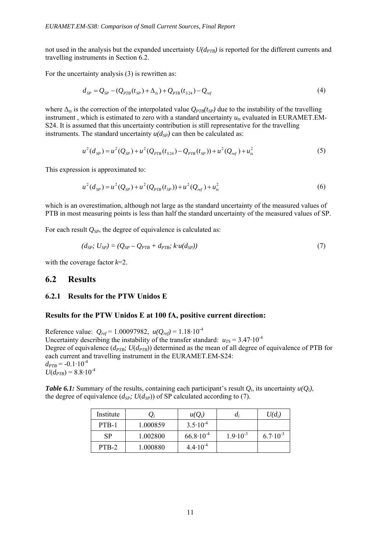not used in the analysis but the expanded uncertainty  $U(d_{PTB})$  is reported for the different currents and travelling instruments in Section 6.2.

For the uncertainty analysis (3) is rewritten as:

$$
d_{SP} = Q_{SP} - (Q_{PTB}(t_{SP}) + \Delta_{ts}) + Q_{PTB}(t_{S24}) - Q_{ref}
$$
\n(4)

where  $\Delta_{ts}$  is the correction of the interpolated value  $Q_{PTB}(t_{SP})$  due to the instability of the travelling instrument, which is estimated to zero with a standard uncertainty  $u_{rs}$  evaluated in EURAMET.EM-S24. It is assumed that this uncertainty contribution is still representative for the travelling instruments. The standard uncertainty  $u(d_{SP})$  can then be calculated as:

$$
u^{2}(d_{SP}) = u^{2}(Q_{SP}) + u^{2}(Q_{PTB}(t_{S24}) - Q_{PTB}(t_{SP})) + u^{2}(Q_{ref}) + u_{ts}^{2}
$$
\n(5)

This expression is approximated to:

$$
u^{2}(d_{SP}) = u^{2}(Q_{SP}) + u^{2}(Q_{PTB}(t_{SP})) + u^{2}(Q_{ref}) + u_{ts}^{2}
$$
\n(6)

which is an overestimation, although not large as the standard uncertainty of the measured values of PTB in most measuring points is less than half the standard uncertainty of the measured values of SP.

For each result  $Q_{SP}$ , the degree of equivalence is calculated as:

$$
(d_{SP}; U_{SP}) = (Q_{SP} - Q_{PTB} + d_{PTB}; k \cdot u(d_{SP})) \tag{7}
$$

with the coverage factor *k*=2.

## **6.2 Results**

### **6.2.1 Results for the PTW Unidos E**

### **Results for the PTW Unidos E at 100 fA, positive current direction:**

Reference value:  $Q_{ref} = 1.00097982$ ,  $u(Q_{ref}) = 1.18 \cdot 10^{-4}$ Uncertainty describing the instability of the transfer standard:  $u_{TS} = 3.47 \cdot 10^{-4}$ Degree of equivalence  $(d_{PTB}; U(d_{PTB}))$  determined as the mean of all degree of equivalence of PTB for each current and travelling instrument in the EURAMET.EM-S24:  $d_{PTB} = -0.1 \cdot 10^{-4}$  $U(d_{PTB}) = 8.8 \cdot 10^{-4}$ 

*Table 6.1:* Summary of the results, containing each participant's result  $Q_i$ , its uncertainty  $u(Q_i)$ , the degree of equivalence  $(d_{SP}; U(d_{SP}))$  of SP calculated according to (7).

| Institute |          | $u(Q_i)$             | a,                  | $U(d_i)$            |
|-----------|----------|----------------------|---------------------|---------------------|
| PTB-1     | 1.000859 | $3.5 \cdot 10^{-4}$  |                     |                     |
| <b>SP</b> | 1.002800 | $66.8 \cdot 10^{-4}$ | $1.9 \cdot 10^{-3}$ | $6.7 \cdot 10^{-3}$ |
| PTB-2     | 1.000880 | $4.4 \cdot 10^{-4}$  |                     |                     |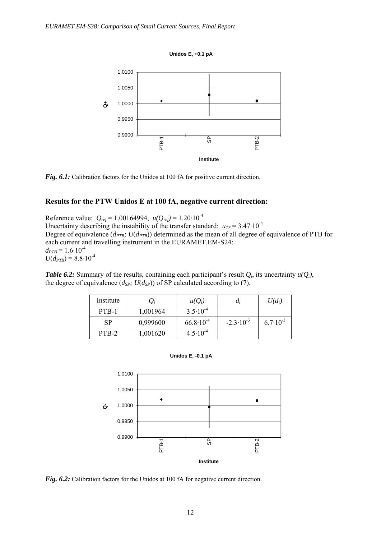**Unidos E, +0.1 pA**



Fig. 6.1: Calibration factors for the Unidos at 100 fA for positive current direction.

### **Results for the PTW Unidos E at 100 fA, negative current direction:**

Reference value: *Qref* = 1.00164994, *u(Qref)* = 1.20·10-4 Uncertainty describing the instability of the transfer standard:  $u_{TS} = 3.47 \cdot 10^{-4}$ Degree of equivalence  $(d_{PTB}; U(d_{PTB}))$  determined as the mean of all degree of equivalence of PTB for each current and travelling instrument in the EURAMET.EM-S24:  $d_{PTB} = 1.6 \cdot 10^{-4}$  $U(d_{PTB}) = 8.8 \cdot 10^{-4}$ 

*Table 6.2:* Summary of the results, containing each participant's result  $Q_i$ , its uncertainty  $u(Q_i)$ , the degree of equivalence  $(d_{SP}; U(d_{SP}))$  of SP calculated according to (7).

| Institute |          | $u(Q_i)$             | $a_i$                | $U(d_i)$            |
|-----------|----------|----------------------|----------------------|---------------------|
| PTB-1     | 1,001964 | $3.5 \cdot 10^{-4}$  |                      |                     |
| <b>SP</b> | 0,999600 | $66.8 \cdot 10^{-4}$ | $-2.3 \cdot 10^{-3}$ | $6.7 \cdot 10^{-3}$ |
| PTB-2     | 1,001620 | $4.5 \cdot 10^{-4}$  |                      |                     |

**Unidos E, -0.1 pA**



*Fig. 6.2:* Calibration factors for the Unidos at 100 fA for negative current direction.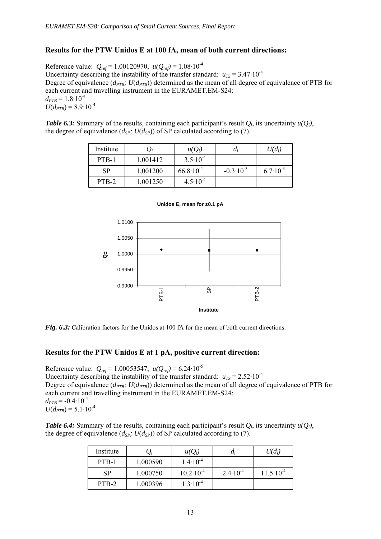### **Results for the PTW Unidos E at 100 fA, mean of both current directions:**

Reference value:  $Q_{ref} = 1.00120970$ ,  $u(Q_{ref}) = 1.08 \cdot 10^{-4}$ Uncertainty describing the instability of the transfer standard:  $u_{TS} = 3.47 \cdot 10^{-4}$ Degree of equivalence ( $d_{PTB}$ ;  $U(d_{PTB})$ ) determined as the mean of all degree of equivalence of PTB for each current and travelling instrument in the EURAMET.EM-S24:  $d_{PTB} = 1.8 \cdot 10^{-4}$  $U(d_{PTB}) = 8.9 \cdot 10^{-4}$ 

*Table 6.3:* Summary of the results, containing each participant's result  $Q_i$ , its uncertainty  $u(Q_i)$ , the degree of equivalence  $(d_{SP}; U(d_{SP}))$  of SP calculated according to (7).

| Institute |          | $u(Q_i)$             | $a_i$                | $U(d_i)$            |
|-----------|----------|----------------------|----------------------|---------------------|
| PTB-1     | 1,001412 | $3.5 \cdot 10^{-4}$  |                      |                     |
| <b>SP</b> | 1,001200 | $66.8 \cdot 10^{-4}$ | $-0.3 \cdot 10^{-3}$ | $6.7 \cdot 10^{-3}$ |
| PTB-2     | 1,001250 | $4.5 \cdot 10^{-4}$  |                      |                     |



#### **Unidos E, mean for ±0.1 pA**

*Fig. 6.3:* Calibration factors for the Unidos at 100 fA for the mean of both current directions.

### **Results for the PTW Unidos E at 1 pA, positive current direction:**

Reference value:  $Q_{ref} = 1.00053547$ ,  $u(Q_{ref}) = 6.24 \cdot 10^{-5}$ Uncertainty describing the instability of the transfer standard:  $u_{TS} = 2.52 \cdot 10^{-4}$ Degree of equivalence ( $d_{PTB}$ ;  $U(d_{PTB})$ ) determined as the mean of all degree of equivalence of PTB for each current and travelling instrument in the EURAMET.EM-S24:  $d_{PTB} = -0.4 \cdot 10^{-4}$  $U(d_{PTB}) = 5.1 \cdot 10^{-4}$ 

*Table 6.4:* Summary of the results, containing each participant's result *Qi*, its uncertainty *u(Qi)*, the degree of equivalence  $(d_{SP}; U(d_{SP}))$  of SP calculated according to (7).

| Institute |          | $u(O_i)$             | a;                  | $U(d_i)$             |
|-----------|----------|----------------------|---------------------|----------------------|
| PTB-1     | 1.000590 | $1.4 \cdot 10^{-4}$  |                     |                      |
| SP        | 1.000750 | $10.2 \cdot 10^{-4}$ | $2.4 \cdot 10^{-4}$ | $11.5 \cdot 10^{-4}$ |
| PTB-2     | 1.000396 | $1.3 \cdot 10^{-4}$  |                     |                      |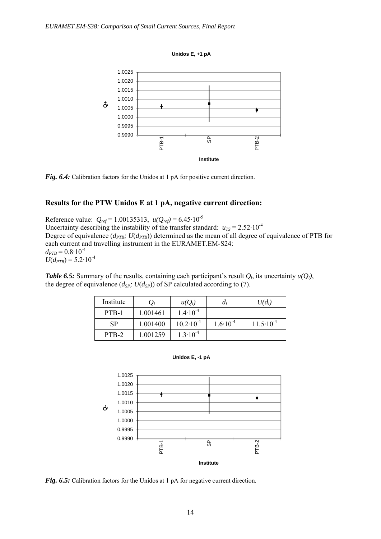



*Fig. 6.4:* Calibration factors for the Unidos at 1 pA for positive current direction.

### **Results for the PTW Unidos E at 1 pA, negative current direction:**

Reference value:  $Q_{ref} = 1.00135313$ ,  $u(Q_{ref}) = 6.45 \cdot 10^{-5}$ Uncertainty describing the instability of the transfer standard:  $u_{TS} = 2.52 \cdot 10^{-4}$ Degree of equivalence  $(d_{PTB}; U(d_{PTB}))$  determined as the mean of all degree of equivalence of PTB for each current and travelling instrument in the EURAMET.EM-S24:  $d_{PTB} = 0.8 \cdot 10^{-4}$  $U(d_{PTB}) = 5.2 \cdot 10^{-4}$ 

*Table 6.5:* Summary of the results, containing each participant's result  $Q_i$ , its uncertainty  $u(Q_i)$ , the degree of equivalence  $(d_{SP}; U(d_{SP}))$  of SP calculated according to (7).

| Institute | $Q_i$    | $u(O_i)$             | a,                  | $U(d_i)$             |
|-----------|----------|----------------------|---------------------|----------------------|
| PTB-1     | 1.001461 | $1.4 \cdot 10^{-4}$  |                     |                      |
| <b>SP</b> | 1.001400 | $10.2 \cdot 10^{-4}$ | $1.6 \cdot 10^{-4}$ | $11.5 \cdot 10^{-4}$ |
| PTB-2     | 1.001259 | $1.3 \cdot 10^{-4}$  |                     |                      |





*Fig. 6.5:* Calibration factors for the Unidos at 1 pA for negative current direction.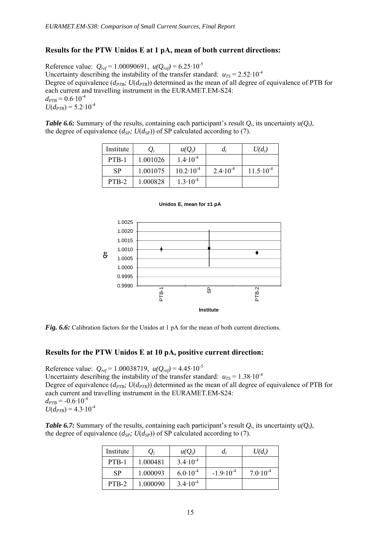### **Results for the PTW Unidos E at 1 pA, mean of both current directions:**

Reference value:  $Q_{ref} = 1.00090691$ ,  $u(Q_{ref}) = 6.25 \cdot 10^{-5}$ Uncertainty describing the instability of the transfer standard:  $u_{TS} = 2.52 \cdot 10^{-4}$ Degree of equivalence ( $d_{PTB}$ ;  $U(d_{PTB})$ ) determined as the mean of all degree of equivalence of PTB for each current and travelling instrument in the EURAMET.EM-S24:  $d_{PTB} = 0.6 \cdot 10^{-4}$  $U(d_{PTB}) = 5.2 \cdot 10^{-4}$ 

*Table 6.6:* Summary of the results, containing each participant's result  $Q_i$ , its uncertainty  $u(Q_i)$ , the degree of equivalence  $(d_{SP}; U(d_{SP}))$  of SP calculated according to (7).

| Institute | $U_i$    | $u(Q_i)$             | $d_i$               | $U(d_i)$             |
|-----------|----------|----------------------|---------------------|----------------------|
| PTB-1     | 1.001026 | $1.4 \cdot 10^{-4}$  |                     |                      |
| <b>SP</b> | 1.001075 | $10.2 \cdot 10^{-4}$ | $2.4 \cdot 10^{-4}$ | $11.5 \cdot 10^{-4}$ |
| PTB-2     | 1.000828 | $1.3 \cdot 10^{-4}$  |                     |                      |



#### **Unidos E, mean for ±1 pA**

*Fig. 6.6:* Calibration factors for the Unidos at 1 pA for the mean of both current directions.

### **Results for the PTW Unidos E at 10 pA, positive current direction:**

Reference value:  $Q_{ref} = 1.00038719$ ,  $u(Q_{ref}) = 4.45 \cdot 10^{-5}$ Uncertainty describing the instability of the transfer standard:  $u_{TS} = 1.38 \cdot 10^{-4}$ Degree of equivalence ( $d_{PTB}$ ;  $U(d_{PTB})$ ) determined as the mean of all degree of equivalence of PTB for each current and travelling instrument in the EURAMET.EM-S24:  $d_{PTB} = -0.6 \cdot 10^{-4}$  $U(d_{PTB}) = 4.3 \cdot 10^{-4}$ 

*Table 6.7:* Summary of the results, containing each participant's result *Qi*, its uncertainty *u(Qi)*, the degree of equivalence  $(d_{SP}; U(d_{SP}))$  of SP calculated according to (7).

| Institute | $Q_i$    | $u(Q_i)$            | $d_i$                | $U(d_i)$            |
|-----------|----------|---------------------|----------------------|---------------------|
| PTB-1     | 1.000481 | $3.4 \cdot 10^{-4}$ |                      |                     |
| <b>SP</b> | 1.000093 | $6.0 \cdot 10^{-4}$ | $-1.9 \cdot 10^{-4}$ | $7.0 \cdot 10^{-4}$ |
| PTB-2     | 1.000090 | $3.4 \cdot 10^{-4}$ |                      |                     |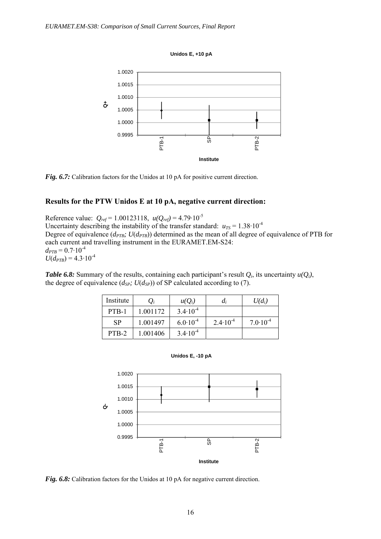



*Fig. 6.7:* Calibration factors for the Unidos at 10 pA for positive current direction.

### **Results for the PTW Unidos E at 10 pA, negative current direction:**

Reference value:  $Q_{ref} = 1.00123118$ ,  $u(Q_{ref}) = 4.79 \cdot 10^{-5}$ Uncertainty describing the instability of the transfer standard:  $u_{TS} = 1.38 \cdot 10^{-4}$ Degree of equivalence  $(d_{PTB}; U(d_{PTB}))$  determined as the mean of all degree of equivalence of PTB for each current and travelling instrument in the EURAMET.EM-S24:  $d_{PTB} = 0.7 \cdot 10^{-4}$  $U(d_{PTB}) = 4.3 \cdot 10^{-4}$ 

*Table 6.8:* Summary of the results, containing each participant's result *Qi*, its uncertainty *u(Qi)*, the degree of equivalence  $(d_{SP}; U(d_{SP}))$  of SP calculated according to (7).

| Institute | $Q_i$    | $u(Q_i)$            | $d_i$               | $U(d_i)$            |
|-----------|----------|---------------------|---------------------|---------------------|
| PTB-1     | 1.001172 | $3.4 \cdot 10^{-4}$ |                     |                     |
| <b>SP</b> | 1.001497 | $6.0 \cdot 10^{-4}$ | $2.4 \cdot 10^{-4}$ | $7.0 \cdot 10^{-4}$ |
| PTB-2     | 1.001406 | $3.4 \cdot 10^{-4}$ |                     |                     |

**Unidos E, -10 pA**



*Fig. 6.8:* Calibration factors for the Unidos at 10 pA for negative current direction.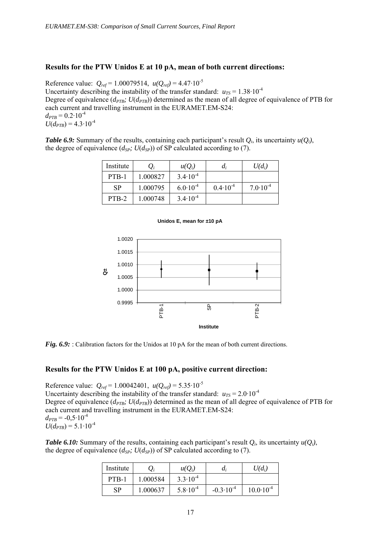### **Results for the PTW Unidos E at 10 pA, mean of both current directions:**

Reference value:  $Q_{ref} = 1.00079514$ ,  $u(Q_{ref}) = 4.47 \cdot 10^{-5}$ Uncertainty describing the instability of the transfer standard:  $u_{TS} = 1.38 \cdot 10^{-4}$ Degree of equivalence  $(d_{PTB}; U(d_{PTB}))$  determined as the mean of all degree of equivalence of PTB for each current and travelling instrument in the EURAMET.EM-S24:  $d_{PTB} = 0.2 \cdot 10^{-4}$  $U(d_{PTB}) = 4.3 \cdot 10^{-4}$ 

*Table 6.9:* Summary of the results, containing each participant's result  $Q_i$ , its uncertainty  $u(Q_i)$ , the degree of equivalence  $(d_{SP}; U(d_{SP}))$  of SP calculated according to (7).

| Institute |          | $u(Q_i)$            | $d_i$               | $U(d_i)$            |
|-----------|----------|---------------------|---------------------|---------------------|
| PTB-1     | 1.000827 | $3.4 \cdot 10^{-4}$ |                     |                     |
| <b>SP</b> | 1.000795 | $6.0 \cdot 10^{-4}$ | $0.4 \cdot 10^{-4}$ | $7.0 \cdot 10^{-4}$ |
| PTB-2     | 1.000748 | $3.4 \cdot 10^{-4}$ |                     |                     |





*Fig. 6.9:* Calibration factors for the Unidos at 10 pA for the mean of both current directions.

## **Results for the PTW Unidos E at 100 pA, positive current direction:**

Reference value:  $Q_{ref} = 1.00042401$ ,  $u(Q_{ref}) = 5.35 \cdot 10^{-5}$ Uncertainty describing the instability of the transfer standard:  $u_{TS} = 2.0 \cdot 10^{-4}$ Degree of equivalence  $(d_{PTB}; U(d_{PTB}))$  determined as the mean of all degree of equivalence of PTB for each current and travelling instrument in the EURAMET.EM-S24:  $d_{PTB} = -0.5 \cdot 10^{-4}$  $U(d_{PTB}) = 5.1 \cdot 10^{-4}$ 

*Table 6.10:* Summary of the results, containing each participant's result  $Q_i$ , its uncertainty  $u(Q_i)$ , the degree of equivalence  $(d_{SP}; U(d_{SP}))$  of SP calculated according to (7).

| Institute |          | $u(O_i)$            | a;                   | $U(d_i)$             |
|-----------|----------|---------------------|----------------------|----------------------|
| PTB-1     | 1.000584 | $3.3 \cdot 10^{-4}$ |                      |                      |
| SP        | 1.000637 | $5.8 \cdot 10^{-4}$ | $-0.3 \cdot 10^{-4}$ | $10.0 \cdot 10^{-4}$ |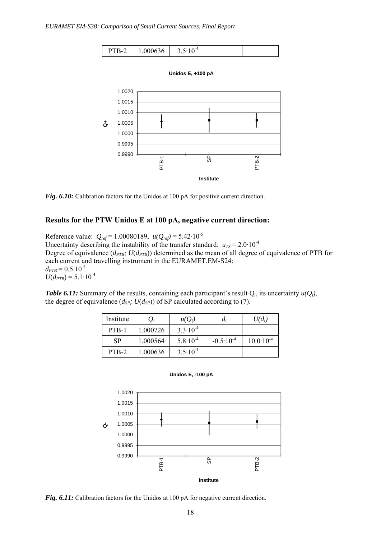

**Unidos E, +100 pA**



*Fig. 6.10:* Calibration factors for the Unidos at 100 pA for positive current direction.

### **Results for the PTW Unidos E at 100 pA, negative current direction:**

Reference value:  $Q_{ref} = 1.00080189$ ,  $u(Q_{ref}) = 5.42 \cdot 10^{-5}$ Uncertainty describing the instability of the transfer standard:  $u_{TS} = 2.0 \cdot 10^{-4}$ Degree of equivalence ( $d_{PTB}$ ;  $U(d_{PTB})$ ) determined as the mean of all degree of equivalence of PTB for each current and travelling instrument in the EURAMET.EM-S24:  $d_{PTB} = 0.5 \cdot 10^{-4}$  $U(d_{PTB}) = 5.1 \cdot 10^{-4}$ 

*Table 6.11:* Summary of the results, containing each participant's result  $Q_i$ , its uncertainty  $u(Q_i)$ , the degree of equivalence  $(d_{SP}; U(d_{SP}))$  of SP calculated according to (7).

| Institute | $\mathcal{Q}_i$ | $u(O_i)$            | $a_i$                | $U(d_i)$             |
|-----------|-----------------|---------------------|----------------------|----------------------|
| PTB-1     | 1.000726        | $3.3 \cdot 10^{-4}$ |                      |                      |
| <b>SP</b> | 1.000564        | $5.8 \cdot 10^{-4}$ | $-0.5 \cdot 10^{-4}$ | $10.0 \cdot 10^{-4}$ |
| PTB-2     | 1.000636        | $3.5 \cdot 10^{-4}$ |                      |                      |





Fig. 6.11: Calibration factors for the Unidos at 100 pA for negative current direction.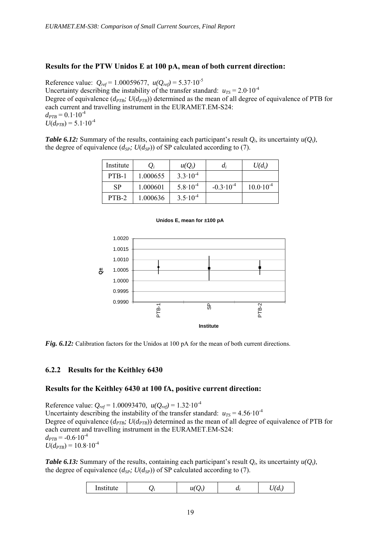### **Results for the PTW Unidos E at 100 pA, mean of both current direction:**

Reference value:  $Q_{ref} = 1.00059677$ ,  $u(Q_{ref}) = 5.37 \cdot 10^{-5}$ Uncertainty describing the instability of the transfer standard:  $u_{TS} = 2.0 \cdot 10^{-4}$ Degree of equivalence ( $d_{PTB}$ ;  $U(d_{PTB})$ ) determined as the mean of all degree of equivalence of PTB for each current and travelling instrument in the EURAMET.EM-S24:  $d_{PTB} = 0.1 \cdot 10^{-4}$  $U(d_{PTB}) = 5.1 \cdot 10^{-4}$ 

*Table 6.12:* Summary of the results, containing each participant's result  $Q_i$ , its uncertainty  $u(Q_i)$ , the degree of equivalence  $(d_{SP}; U(d_{SP}))$  of SP calculated according to (7).

| Institute |          | $u(Q_i)$            | $a_i$                | $U(d_i)$             |
|-----------|----------|---------------------|----------------------|----------------------|
| PTB-1     | 1.000655 | $3.3 \cdot 10^{-4}$ |                      |                      |
| <b>SP</b> | 1.000601 | $5.8 \cdot 10^{-4}$ | $-0.3 \cdot 10^{-4}$ | $10.0 \cdot 10^{-4}$ |
| PTB-2     | 1.000636 | $3.5 \cdot 10^{-4}$ |                      |                      |

#### **Unidos E, mean for ±100 pA**



*Fig. 6.12:* Calibration factors for the Unidos at 100 pA for the mean of both current directions.

### **6.2.2 Results for the Keithley 6430**

### **Results for the Keithley 6430 at 100 fA, positive current direction:**

Reference value:  $Q_{ref} = 1.00093470$ ,  $u(Q_{ref}) = 1.32 \cdot 10^{-4}$ Uncertainty describing the instability of the transfer standard:  $u_{TS} = 4.56 \cdot 10^{-4}$ Degree of equivalence  $(d_{PTB}; U(d_{PTB}))$  determined as the mean of all degree of equivalence of PTB for each current and travelling instrument in the EURAMET.EM-S24:  $d_{PTB} = -0.6 \cdot 10^{-4}$  $U(d_{PTB}) = 10.8 \cdot 10^{-4}$ 

*Table 6.13:* Summary of the results, containing each participant's result *Qi*, its uncertainty *u(Qi)*, the degree of equivalence  $(d_{SP}; U(d_{SP}))$  of SP calculated according to (7).

| <i>IIISUIUU</i> |  | u |  |
|-----------------|--|---|--|
|-----------------|--|---|--|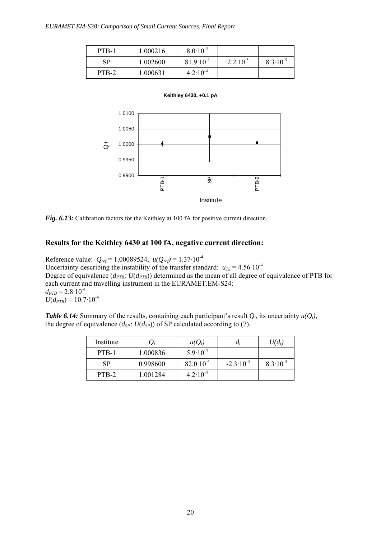| PTB-1 | 1.000216 | $8.0 \cdot 10^{-4}$  |                     |                     |
|-------|----------|----------------------|---------------------|---------------------|
| SP    | 1.002600 | $81.9 \cdot 10^{-4}$ | $2.2 \cdot 10^{-3}$ | $8.3 \cdot 10^{-3}$ |
| PTB-2 | 1.000631 | $4.2 \cdot 10^{-4}$  |                     |                     |





*Fig. 6.13:* Calibration factors for the Keithley at 100 fA for positive current direction.

### **Results for the Keithley 6430 at 100 fA, negative current direction:**

Reference value: *Qref* = 1.00089524, *u(Qref)* = 1.37·10-4 Uncertainty describing the instability of the transfer standard:  $u_{TS} = 4.56 \cdot 10^{-4}$ Degree of equivalence  $(d_{PTB}; U(d_{PTB}))$  determined as the mean of all degree of equivalence of PTB for each current and travelling instrument in the EURAMET.EM-S24:  $d_{PTB} = 2.8 \cdot 10^{-4}$  $U(d_{PTB}) = 10.7 \cdot 10^{-4}$ 

*Table 6.14:* Summary of the results, containing each participant's result *Qi*, its uncertainty *u(Qi)*, the degree of equivalence  $(d_{SP}; U(d_{SP}))$  of SP calculated according to (7).

| Institute |          | $u(O_i)$             | a,                   | $U(d_i)$            |
|-----------|----------|----------------------|----------------------|---------------------|
| PTB-1     | 1.000836 | $5.9 \cdot 10^{-4}$  |                      |                     |
| <b>SP</b> | 0.998600 | $82.0 \cdot 10^{-4}$ | $-2.3 \cdot 10^{-3}$ | $8.3 \cdot 10^{-3}$ |
| PTB-2     | 1.001284 | $4.2 \cdot 10^{-4}$  |                      |                     |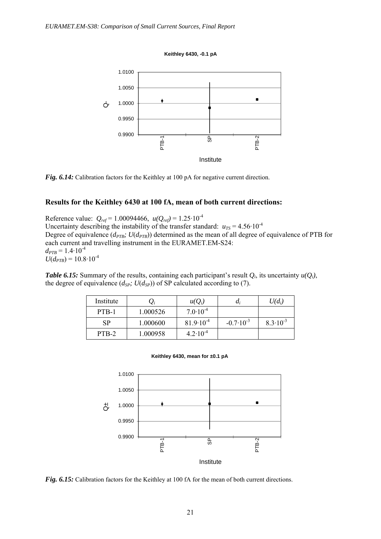**Keithley 6430, -0.1 pA**



*Fig. 6.14:* Calibration factors for the Keithley at 100 pA for negative current direction.

### **Results for the Keithley 6430 at 100 fA, mean of both current directions:**

Reference value:  $Q_{ref} = 1.00094466$ ,  $u(Q_{ref}) = 1.25 \cdot 10^{-4}$ Uncertainty describing the instability of the transfer standard:  $u_{TS} = 4.56 \cdot 10^{-4}$ Degree of equivalence ( $d_{PTB}$ ;  $U(d_{PTB})$ ) determined as the mean of all degree of equivalence of PTB for each current and travelling instrument in the EURAMET.EM-S24:  $d_{PTB} = 1.4 \cdot 10^{-4}$  $U(d_{PTB}) = 10.8 \cdot 10^{-4}$ 

*Table 6.15:* Summary of the results, containing each participant's result  $Q_i$ , its uncertainty  $u(Q_i)$ , the degree of equivalence  $(d_{SP}; U(d_{SP}))$  of SP calculated according to (7).

| Institute |          | $u(Q_i)$             | $a_i$                | $U(d_i)$            |
|-----------|----------|----------------------|----------------------|---------------------|
| PTB-1     | 1.000526 | $7.0 \cdot 10^{-4}$  |                      |                     |
| <b>SP</b> | 1.000600 | $81.9 \cdot 10^{-4}$ | $-0.7 \cdot 10^{-3}$ | $8.3 \cdot 10^{-3}$ |
| PTB-2     | 1.000958 | $4.2 \cdot 10^{-4}$  |                      |                     |

**Keithley 6430, mean for ±0.1 pA**



*Fig. 6.15:* Calibration factors for the Keithley at 100 fA for the mean of both current directions.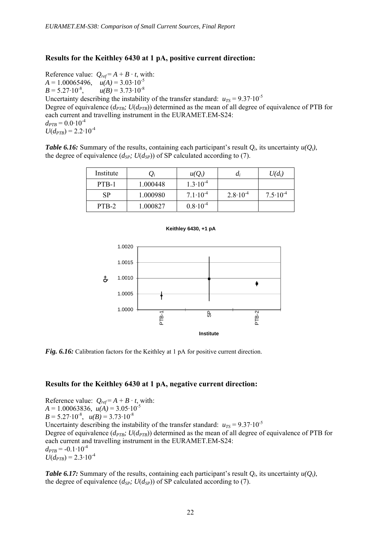### **Results for the Keithley 6430 at 1 pA, positive current direction:**

Reference value:  $Q_{ref} = A + B \cdot t$ , with:  $A = 1.00065496, \quad u(A) = 3.03 \cdot 10^{-5}$  $B = 5.27 \cdot 10^{-8}$ ,  $u(B) = 3.73 \cdot 10^{-8}$ Uncertainty describing the instability of the transfer standard:  $u_{TS} = 9.37 \cdot 10^{-5}$ Degree of equivalence  $(d_{PTB}; U(d_{PTB}))$  determined as the mean of all degree of equivalence of PTB for each current and travelling instrument in the EURAMET.EM-S24:  $d_{PTB} = 0.0 \cdot 10^{-4}$  $U(d_{PTB}) = 2.2 \cdot 10^{-4}$ 

*Table 6.16:* Summary of the results, containing each participant's result  $Q_i$ , its uncertainty  $u(Q_i)$ , the degree of equivalence  $(d_{SP}; U(d_{SP}))$  of SP calculated according to (7).

| Institute | $\mathcal{Q}_i$ | $u(Q_i)$            | $a_i$               | $U(d_i)$            |
|-----------|-----------------|---------------------|---------------------|---------------------|
| PTB-1     | 1.000448        | $1.3 \cdot 10^{-4}$ |                     |                     |
| <b>SP</b> | 1.000980        | $7.1 \cdot 10^{-4}$ | $2.8 \cdot 10^{-4}$ | $7.5 \cdot 10^{-4}$ |
| PTB-2     | 1.000827        | $0.8 \cdot 10^{-4}$ |                     |                     |



**Keithley 6430, +1 pA**

*Fig. 6.16:* Calibration factors for the Keithley at 1 pA for positive current direction.

### **Results for the Keithley 6430 at 1 pA, negative current direction:**

Reference value:  $Q_{ref} = A + B \cdot t$ , with:  $A = 1.00063836$ ,  $u(A) = 3.05 \cdot 10^{-5}$  $B = 5.27 \cdot 10^{-8}$ ,  $u(B) = 3.73 \cdot 10^{-8}$ Uncertainty describing the instability of the transfer standard:  $u_{TS} = 9.37 \cdot 10^{-5}$ Degree of equivalence  $(d_{PTB}; U(d_{PTB}))$  determined as the mean of all degree of equivalence of PTB for each current and travelling instrument in the EURAMET.EM-S24:  $d_{PTB} = -0.1 \cdot 10^{-4}$  $U(d_{PTB}) = 2.3 \cdot 10^{-4}$ 

*Table 6.17:* Summary of the results, containing each participant's result *Qi*, its uncertainty *u(Qi)*, the degree of equivalence  $(d_{SP}; U(d_{SP}))$  of SP calculated according to (7).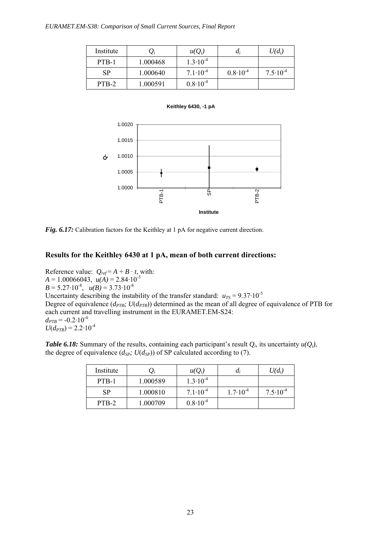| Institute | $\mathcal{L}_i$ | $u(Q_i)$            | $\mu_i$             | $U(d_i)$            |
|-----------|-----------------|---------------------|---------------------|---------------------|
| PTB-1     | 1.000468        | $1.3 \cdot 10^{-4}$ |                     |                     |
| <b>SP</b> | 1.000640        | $7.1 \cdot 10^{-4}$ | $0.8 \cdot 10^{-4}$ | $7.5 \cdot 10^{-4}$ |
| PTB-2     | 1.000591        | $0.8 \cdot 10^{-4}$ |                     |                     |



**Keithley 6430, -1 pA**

*Fig. 6.17:* Calibration factors for the Keithley at 1 pA for negative current direction.

### **Results for the Keithley 6430 at 1 pA, mean of both current directions:**

Reference value:  $Q_{ref} = A + B \cdot t$ , with:  $A = 1.00066043$ ,  $u(A) = 2.84 \cdot 10^{-5}$  $B = 5.27 \cdot 10^{-8}$ ,  $u(B) = 3.73 \cdot 10^{-8}$ Uncertainty describing the instability of the transfer standard:  $u_{TS} = 9.37 \cdot 10^{-5}$ Degree of equivalence  $(d_{PTB}; U(d_{PTB}))$  determined as the mean of all degree of equivalence of PTB for each current and travelling instrument in the EURAMET.EM-S24:  $d_{PTB} = -0.2 \cdot 10^{-4}$  $U(d_{PTB}) = 2.2 \cdot 10^{-4}$ 

*Table 6.18:* Summary of the results, containing each participant's result *Qi*, its uncertainty *u(Qi)*, the degree of equivalence  $(d_{SP}; U(d_{SP}))$  of SP calculated according to (7).

| Institute | $\mathcal{L}_i$ | $u(Q_i)$            | u;                  | $U(d_i)$            |
|-----------|-----------------|---------------------|---------------------|---------------------|
| PTB-1     | 1.000589        | $1.3 \cdot 10^{-4}$ |                     |                     |
| <b>SP</b> | 1.000810        | $7.1 \cdot 10^{-4}$ | $1.7 \cdot 10^{-4}$ | $7.5 \cdot 10^{-4}$ |
| PTB-2     | 1.000709        | $0.8 \cdot 10^{-4}$ |                     |                     |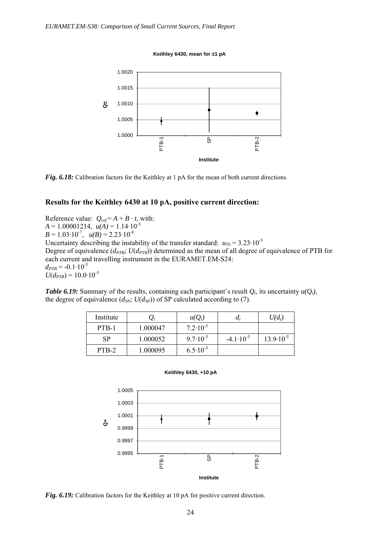**Keithley 6430, mean for ±1 pA**



*Fig. 6.18:* Calibration factors for the Keithley at 1 pA for the mean of both current directions.

### **Results for the Keithley 6430 at 10 pA, positive current direction:**

Reference value:  $Q_{ref} = A + B \cdot t$ , with:  $A = 1.00001214, u(A) = 1.14 \cdot 10^{-5}$  $B = 1.03 \cdot 10^{-7}$ ,  $u(B) = 2.23 \cdot 10^{-8}$ Uncertainty describing the instability of the transfer standard:  $u_{TS} = 3.23 \cdot 10^{-5}$ Degree of equivalence  $(d_{PTB}; U(d_{PTB}))$  determined as the mean of all degree of equivalence of PTB for each current and travelling instrument in the EURAMET.EM-S24:  $d_{PTB} = -0.1 \cdot 10^{-5}$  $U(d_{PTB}) = 10.0 \cdot 10^{-5}$ 

*Table 6.19:* Summary of the results, containing each participant's result *Qi*, its uncertainty *u(Qi)*, the degree of equivalence  $(d_{SP}; U(d_{SP}))$  of SP calculated according to (7).

| Institute | $\mathcal{Q}_i$ | $u(Q_i)$            | $a_i$                | $U(d_i)$             |
|-----------|-----------------|---------------------|----------------------|----------------------|
| PTB-1     | 1.000047        | $7.2 \cdot 10^{-5}$ |                      |                      |
| <b>SP</b> | 1.000052        | $9.7 \cdot 10^{-5}$ | $-4.1 \cdot 10^{-5}$ | $13.9 \cdot 10^{-5}$ |
| PTB-2     | 1.000095        | $6.5 \cdot 10^{-5}$ |                      |                      |





*Fig. 6.19:* Calibration factors for the Keithley at 10 pA for positive current direction.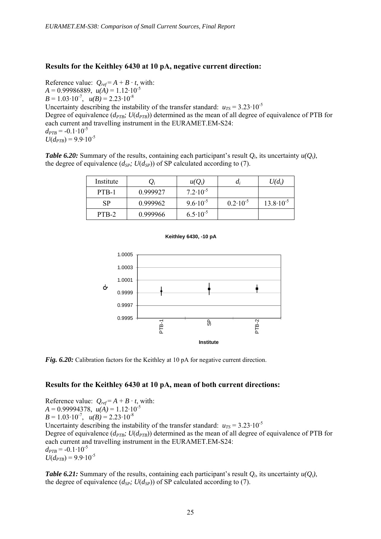### **Results for the Keithley 6430 at 10 pA, negative current direction:**

Reference value:  $Q_{ref} = A + B \cdot t$ , with:  $A = 0.99986889$ ,  $u(A) = 1.12 \cdot 10^{-5}$  $B = 1.03 \cdot 10^{-7}$ ,  $u(B) = 2.23 \cdot 10^{-8}$ Uncertainty describing the instability of the transfer standard:  $u_{TS} = 3.23 \cdot 10^{-5}$ Degree of equivalence  $(d_{PTB}; U(d_{PTB}))$  determined as the mean of all degree of equivalence of PTB for each current and travelling instrument in the EURAMET.EM-S24:  $d_{PTB} = -0.1 \cdot 10^{-5}$  $U(d_{PTB}) = 9.9 \cdot 10^{-5}$ 

*Table 6.20:* Summary of the results, containing each participant's result  $Q_i$ , its uncertainty  $u(Q_i)$ , the degree of equivalence  $(d_{SP}; U(d_{SP}))$  of SP calculated according to (7).

| Institute | $\mathcal{Q}_i$ | $u(Q_i)$            | $a_i$               | $U(d_i)$             |
|-----------|-----------------|---------------------|---------------------|----------------------|
| PTB-1     | 0.999927        | $7.2 \cdot 10^{-5}$ |                     |                      |
| <b>SP</b> | 0.999962        | $9.6 \cdot 10^{-5}$ | $0.2 \cdot 10^{-5}$ | $13.8 \cdot 10^{-5}$ |
| PTB-2     | 0.999966        | $6.5 \cdot 10^{-5}$ |                     |                      |





*Fig. 6.20:* Calibration factors for the Keithley at 10 pA for negative current direction.

### **Results for the Keithley 6430 at 10 pA, mean of both current directions:**

Reference value:  $Q_{ref} = A + B \cdot t$ , with:  $A = 0.99994378$ ,  $u(A) = 1.12 \cdot 10^{-5}$  $B = 1.03 \cdot 10^{-7}$ ,  $u(B) = 2.23 \cdot 10^{-8}$ Uncertainty describing the instability of the transfer standard:  $u_{TS} = 3.23 \cdot 10^{-5}$ Degree of equivalence  $(d_{PTB}; U(d_{PTB}))$  determined as the mean of all degree of equivalence of PTB for each current and travelling instrument in the EURAMET.EM-S24:  $d_{PTB} = -0.1 \cdot 10^{-5}$  $U(d_{PTB}) = 9.9 \cdot 10^{-5}$ 

*Table 6.21:* Summary of the results, containing each participant's result  $Q_i$ , its uncertainty  $u(Q_i)$ , the degree of equivalence  $(d_{SP}; U(d_{SP}))$  of SP calculated according to (7).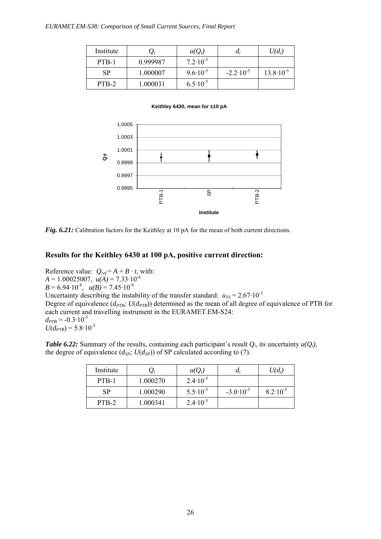| Institute | $\mathcal{Q}_i$ | $u(Q_i)$            | $a_i$                | $U(d_i)$             |
|-----------|-----------------|---------------------|----------------------|----------------------|
| PTB-1     | 0.999987        | $7.2 \cdot 10^{-5}$ |                      |                      |
| <b>SP</b> | 1.000007        | $9.6 \cdot 10^{-5}$ | $-2.2 \cdot 10^{-5}$ | $13.8 \cdot 10^{-5}$ |
| PTB-2     | 1.000031        | $6.5 \cdot 10^{-5}$ |                      |                      |

**Keithley 6430, mean for ±10 pA**



*Fig. 6.21:* Calibration factors for the Keithley at 10 pA for the mean of both current directions.

### **Results for the Keithley 6430 at 100 pA, positive current direction:**

Reference value:  $Q_{ref} = A + B \cdot t$ , with:  $A = 1.00025007$ ,  $u(A) = 7.33 \cdot 10^{-6}$  $B = 6.94 \cdot 10^{-8}$ ,  $u(B) = 7.45 \cdot 10^{-9}$ Uncertainty describing the instability of the transfer standard:  $u_{TS} = 2.67 \cdot 10^{-5}$ Degree of equivalence ( $d_{PTB}$ ;  $U(d_{PTB})$ ) determined as the mean of all degree of equivalence of PTB for each current and travelling instrument in the EURAMET.EM-S24:  $d_{PTB} = -0.3 \cdot 10^{-5}$  $U(d_{PTB}) = 5.8 \cdot 10^{-5}$ 

*Table 6.22:* Summary of the results, containing each participant's result  $Q_i$ , its uncertainty  $u(Q_i)$ , the degree of equivalence  $(d_{SP}; U(d_{SP}))$  of SP calculated according to (7).

| Institute | $\mathcal{L}_i$ | $u(Q_i)$            | u;                   | $U(d_i)$            |
|-----------|-----------------|---------------------|----------------------|---------------------|
| PTB-1     | 1.000270        | $2.4 \cdot 10^{-5}$ |                      |                     |
| <b>SP</b> | 1.000290        | $5.5 \cdot 10^{-5}$ | $-3.0 \cdot 10^{-5}$ | $8.2 \cdot 10^{-5}$ |
| PTB-2     | 1.000341        | $2.4 \cdot 10^{-5}$ |                      |                     |

26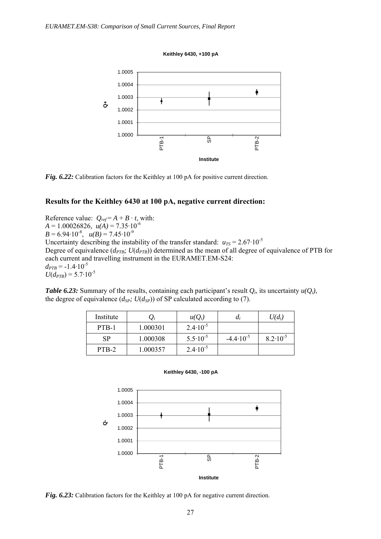**Keithley 6430, +100 pA**



*Fig. 6.22:* Calibration factors for the Keithley at 100 pA for positive current direction.

### **Results for the Keithley 6430 at 100 pA, negative current direction:**

Reference value:  $Q_{ref} = A + B \cdot t$ , with:  $A = 1.00026826$ ,  $u(A) = 7.35 \cdot 10^{-6}$  $B = 6.94 \cdot 10^{-8}$ ,  $u(B) = 7.45 \cdot 10^{-9}$ Uncertainty describing the instability of the transfer standard:  $u_{TS} = 2.67 \cdot 10^{-5}$ Degree of equivalence  $(d_{PTB}; U(d_{PTB}))$  determined as the mean of all degree of equivalence of PTB for each current and travelling instrument in the EURAMET.EM-S24:  $d_{PTB} = -1.4 \cdot 10^{-5}$  $U(d_{PTB}) = 5.7 \cdot 10^{-5}$ 

*Table 6.23:* Summary of the results, containing each participant's result  $Q_i$ , its uncertainty  $u(Q_i)$ , the degree of equivalence  $(d_{SP}; U(d_{SP}))$  of SP calculated according to (7).

| Institute | $\mathcal{Q}_i$ | $u(Q_i)$            | $a_i$                | $U(d_i)$            |
|-----------|-----------------|---------------------|----------------------|---------------------|
| PTB-1     | 1.000301        | $2.4 \cdot 10^{-5}$ |                      |                     |
| <b>SP</b> | 1.000308        | $5.5 \cdot 10^{-5}$ | $-4.4 \cdot 10^{-5}$ | $8.2 \cdot 10^{-5}$ |
| PTB-2     | 1.000357        | $2.4 \cdot 10^{-5}$ |                      |                     |





*Fig. 6.23:* Calibration factors for the Keithley at 100 pA for negative current direction.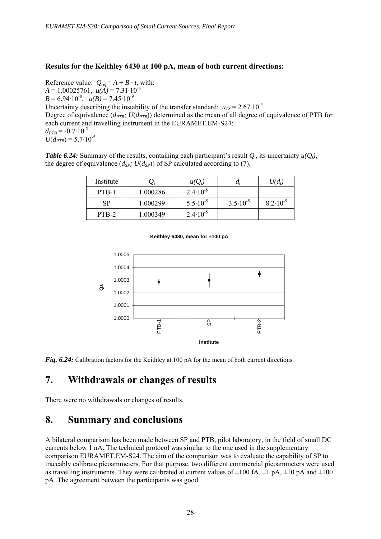## **Results for the Keithley 6430 at 100 pA, mean of both current directions:**

Reference value:  $Q_{ref} = A + B \cdot t$ , with:  $A = 1.00025761$ ,  $u(A) = 7.31 \cdot 10^{-6}$  $B = 6.94 \cdot 10^{-8}$ ,  $u(B) = 7.45 \cdot 10^{-9}$ Uncertainty describing the instability of the transfer standard:  $u_{TS} = 2.67 \cdot 10^{-5}$ Degree of equivalence  $(d_{PTB}; U(d_{PTB}))$  determined as the mean of all degree of equivalence of PTB for each current and travelling instrument in the EURAMET.EM-S24:  $d_{PTB} = -0.7 \cdot 10^{-5}$  $U(d_{PTB}) = 5.7 \cdot 10^{-5}$ 

*Table 6.24:* Summary of the results, containing each participant's result  $Q_i$ , its uncertainty  $u(Q_i)$ , the degree of equivalence  $(d_{SP}; U(d_{SP}))$  of SP calculated according to (7).

| Institute |          | $u(Q_i)$            | $a_i$                | $U(d_i)$            |
|-----------|----------|---------------------|----------------------|---------------------|
| PTB-1     | 1.000286 | $2.4 \cdot 10^{-5}$ |                      |                     |
| <b>SP</b> | 1.000299 | $5.5 \cdot 10^{-5}$ | $-3.5 \cdot 10^{-5}$ | $8.2 \cdot 10^{-5}$ |
| PTB-2     | 1.000349 | $2.4 \cdot 10^{-5}$ |                      |                     |



**Keithley 6430, mean for ±100 pA**

*Fig. 6.24:* Calibration factors for the Keithley at 100 pA for the mean of both current directions.

## **7. Withdrawals or changes of results**

There were no withdrawals or changes of results.

## **8. Summary and conclusions**

A bilateral comparison has been made between SP and PTB, pilot laboratory, in the field of small DC currents below 1 nA. The technical protocol was similar to the one used in the supplementary comparison EURAMET.EM-S24. The aim of the comparison was to evaluate the capability of SP to traceably calibrate picoammeters. For that purpose, two different commercial picoammeters were used as travelling instruments. They were calibrated at current values of  $\pm 100$  fA,  $\pm 1$  pA,  $\pm 10$  pA and  $\pm 100$ pA. The agreement between the participants was good.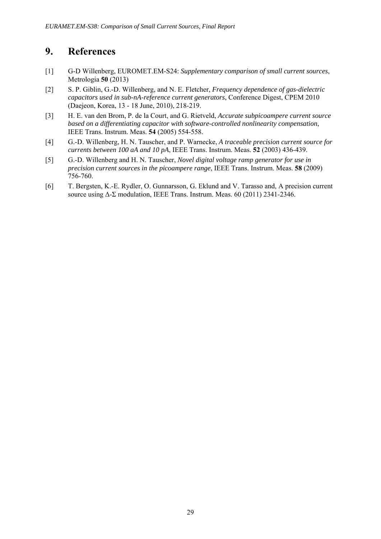## **9. References**

- [1] G-D Willenberg, EUROMET.EM-S24: *Supplementary comparison of small current sources*, Metrologia **50** (2013)
- [2] S. P. Giblin, G.-D. Willenberg, and N. E. Fletcher, *Frequency dependence of gas-dielectric capacitors used in sub-nA-reference current generators*, Conference Digest, CPEM 2010 (Daejeon, Korea, 13 - 18 June, 2010), 218-219.
- [3] H. E. van den Brom, P. de la Court, and G. Rietveld, *Accurate subpicoampere current source based on a differentiating capacitor with software-controlled nonlinearity compensation*, IEEE Trans. Instrum. Meas. **54** (2005) 554-558.
- [4] G.-D. Willenberg, H. N. Tauscher, and P. Warnecke, *A traceable precision current source for currents between 100 aA and 10 pA*, IEEE Trans. Instrum. Meas. **52** (2003) 436-439.
- [5] G.-D. Willenberg and H. N. Tauscher, *Novel digital voltage ramp generator for use in precision current sources in the picoampere range*, IEEE Trans. Instrum. Meas. **58** (2009) 756-760.
- [6] T. Bergsten, K.-E. Rydler, O. Gunnarsson, G. Eklund and V. Tarasso and, A precision current source using Δ-Σ modulation, IEEE Trans. Instrum. Meas. 60 (2011) 2341-2346.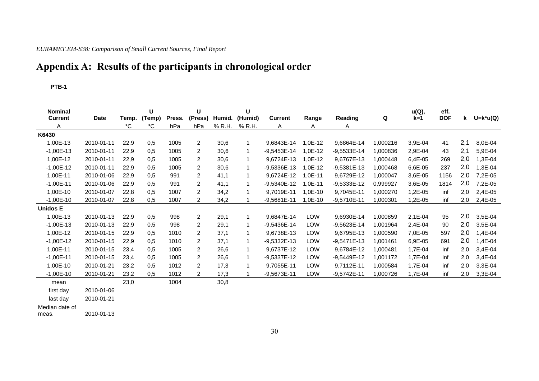## *EURAMET.EM-S38: Comparison of Small Current Sources, Final Report*

# **Appendix A: Results of the participants in chronological order**

#### **PTB-1**

| <b>Nominal</b><br><b>Current</b> | <b>Date</b> | Temp.       | U<br>(Temp) | Press. | U<br>(Press)   | Humid. | U<br>(Humid) | <b>Current</b> | Range      | Reading       | Q        | u(Q),<br>$k=1$ | eff.<br><b>DOF</b> | k   | $U=$ k*u(Q) |
|----------------------------------|-------------|-------------|-------------|--------|----------------|--------|--------------|----------------|------------|---------------|----------|----------------|--------------------|-----|-------------|
| A                                |             | $^{\circ}C$ | °C          | hPa    | hPa            | % R.H. | % R.H.       | A              | A          | Α             |          |                |                    |     |             |
| K6430                            |             |             |             |        |                |        |              |                |            |               |          |                |                    |     |             |
| 1,00E-13                         | 2010-01-11  | 22,9        | 0,5         | 1005   | $\overline{c}$ | 30,6   | $\mathbf{1}$ | 9,6843E-14     | 1,0E-12    | 9,6864E-14    | 1,000216 | 3,9E-04        | 41                 | 2,1 | 8,0E-04     |
| $-1,00E-13$                      | 2010-01-11  | 22,9        | 0,5         | 1005   | 2              | 30,6   | $\mathbf 1$  | $-9,5453E-14$  | ,0E-12     | $-9,5533E-14$ | 1,000836 | 2,9E-04        | 43                 | 2,1 | 5,9E-04     |
| 1,00E-12                         | 2010-01-11  | 22,9        | 0,5         | 1005   | $\overline{c}$ | 30,6   | 1            | 9,6724E-13     | 1,0E-12    | 9,6767E-13    | 1,000448 | 6,4E-05        | 269                | 2,0 | 1,3E-04     |
| $-1,00E-12$                      | 2010-01-11  | 22,9        | 0.5         | 1005   | 2              | 30,6   | 1            | -9,5336E-13    | 1,0E-12    | $-9,5381E-13$ | 1,000468 | 6,6E-05        | 237                | 2,0 | 1,3E-04     |
| 1,00E-11                         | 2010-01-06  | 22,9        | 0,5         | 991    | $\overline{c}$ | 41,1   | 1            | 9,6724E-12     | 1,0E-11    | 9,6729E-12    | 1,000047 | 3,6E-05        | 1156               | 2,0 | 7,2E-05     |
| $-1,00E-11$                      | 2010-01-06  | 22,9        | 0,5         | 991    | $\overline{c}$ | 41,1   | $\mathbf{1}$ | -9,5340E-12    | 1,0E-11    | $-9,5333E-12$ | 0,999927 | 3,6E-05        | 1814               | 2,0 | 7,2E-05     |
| 1,00E-10                         | 2010-01-07  | 22,8        | 0.5         | 1007   | $\overline{c}$ | 34,2   | 1            | 9,7019E-11     | $1,0E-10$  | 9,7045E-11    | 1,000270 | 1,2E-05        | inf                | 2,0 | 2,4E-05     |
| $-1,00E-10$                      | 2010-01-07  | 22,8        | 0,5         | 1007   | 2              | 34,2   |              | $-9,5681E-11$  | $.0E-10$   | $-9,5710E-11$ | 1,000301 | 1,2E-05        | inf                | 2,0 | 2,4E-05     |
| <b>Unidos E</b>                  |             |             |             |        |                |        |              |                |            |               |          |                |                    |     |             |
| 1,00E-13                         | 2010-01-13  | 22,9        | 0,5         | 998    | $\overline{c}$ | 29,1   | 1            | 9,6847E-14     | LOW        | 9,6930E-14    | 1,000859 | 2,1E-04        | 95                 | 2,0 | 3,5E-04     |
| $-1,00E-13$                      | 2010-01-13  | 22,9        | 0,5         | 998    | 2              | 29,1   | 1            | -9,5436E-14    | LOW        | $-9,5623E-14$ | 1,001964 | 2,4E-04        | 90                 | 2,0 | 3,5E-04     |
| 1,00E-12                         | 2010-01-15  | 22,9        | 0,5         | 1010   | 2              | 37,1   | 1            | 9,6738E-13     | LOW        | 9,6795E-13    | 1,000590 | 7,0E-05        | 597                | 2,0 | 1,4E-04     |
| $-1,00E-12$                      | 2010-01-15  | 22,9        | 0,5         | 1010   | 2              | 37,1   | $\mathbf{1}$ | $-9.5332E-13$  | LOW        | $-9,5471E-13$ | 1,001461 | 6,9E-05        | 691                | 2,0 | 1,4E-04     |
| 1,00E-11                         | 2010-01-15  | 23,4        | 0.5         | 1005   | $\overline{2}$ | 26,6   | $\mathbf{1}$ | 9,6737E-12     | <b>LOW</b> | 9,6784E-12    | 1,000481 | 1,7E-04        | inf                | 2,0 | 3,4E-04     |
| $-1,00E-11$                      | 2010-01-15  | 23,4        | 0.5         | 1005   | $\overline{c}$ | 26,6   | $\mathbf{1}$ | $-9,5337E-12$  | LOW        | $-9.5449E-12$ | 1.001172 | 1,7E-04        | inf                | 2,0 | 3,4E-04     |
| 1,00E-10                         | 2010-01-21  | 23,2        | 0,5         | 1012   | 2              | 17,3   | 1            | 9.7055E-11     | <b>LOW</b> | 9,7112E-11    | 1,000584 | 1,7E-04        | inf                | 2,0 | 3,3E-04     |
| $-1,00E-10$                      | 2010-01-21  | 23,2        | 0,5         | 1012   | $\overline{2}$ | 17,3   | 1            | $-9,5673E-11$  | LOW        | $-9,5742E-11$ | 1,000726 | 1,7E-04        | inf                | 2,0 | 3,3E-04     |
| mean                             |             | 23,0        |             | 1004   |                | 30,8   |              |                |            |               |          |                |                    |     |             |
| first day                        | 2010-01-06  |             |             |        |                |        |              |                |            |               |          |                |                    |     |             |
| last day                         | 2010-01-21  |             |             |        |                |        |              |                |            |               |          |                |                    |     |             |

Median date of

meas. 2010-01-13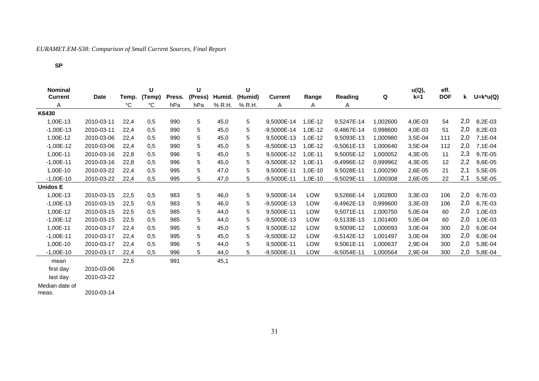## *EURAMET.EM-S38: Comparison of Small Current Sources, Final Report*

#### **SP**

| <b>Nominal</b><br><b>Current</b> | <b>Date</b> | Temp. | U<br>(Temp) | Press. | U<br>(Press) | Humid. | U<br>(Humid) | <b>Current</b> | Range     | Reading       | Q        | u(Q),<br>$k=1$ | eff.<br><b>DOF</b> | k   | $U=$ k*u(Q) |
|----------------------------------|-------------|-------|-------------|--------|--------------|--------|--------------|----------------|-----------|---------------|----------|----------------|--------------------|-----|-------------|
| A                                |             | °C    | °C          | hPa    | hPa          | % R.H. | % R.H.       | A              | A         | A             |          |                |                    |     |             |
| K6430                            |             |       |             |        |              |        |              |                |           |               |          |                |                    |     |             |
| 1,00E-13                         | 2010-03-11  | 22,4  | 0,5         | 990    | 5            | 45,0   | 5            | 9,5000E-14     | 1,0E-12   | 9,5247E-14    | 1,002600 | 4,0E-03        | 54                 | 2,0 | 8,2E-03     |
| $-1,00E-13$                      | 2010-03-11  | 22,4  | 0,5         | 990    | 5            | 45,0   | 5            | $-9,5000E-14$  | 1,0E-12   | $-9,4867E-14$ | 0.998600 | 4,0E-03        | 51                 | 2,0 | 8,2E-03     |
| 1,00E-12                         | 2010-03-06  | 22,4  | 0,5         | 990    | 5            | 45,0   | 5            | 9,5000E-13     | 1,0E-12   | 9,5093E-13    | 1,000980 | 3,5E-04        | 111                | 2,0 | 7,1E-04     |
| $-1,00E-12$                      | 2010-03-06  | 22,4  | 0.5         | 990    | 5            | 45,0   | 5            | -9,5000E-13    | 1,0E-12   | $-9,5061E-13$ | 1,000640 | 3,5E-04        | 112                | 2,0 | 7,1E-04     |
| 1,00E-11                         | 2010-03-16  | 22,8  | 0,5         | 996    | 5            | 45,0   | 5            | 9,5000E-12     | $1,0E-11$ | 9,5005E-12    | 1,000052 | 4,3E-05        | 11                 | 2,3 | 9,7E-05     |
| $-1,00E-11$                      | 2010-03-16  | 22,8  | 0,5         | 996    | 5            | 45,0   | 5            | -9,5000E-12    | $1,0E-11$ | -9,4996E-12   | 0,999962 | 4,3E-05        | 12                 | 2,2 | 9,6E-05     |
| 1,00E-10                         | 2010-03-22  | 22,4  | 0,5         | 995    | 5            | 47,0   | 5            | 9,5000E-11     | $1,0E-10$ | 9,5028E-11    | 1,000290 | 2,6E-05        | 21                 | 2,1 | 5,5E-05     |
| $-1,00E-10$                      | 2010-03-22  | 22,4  | 0,5         | 995    | 5            | 47,0   | 5            | -9,5000E-11    | $1,0E-10$ | $-9,5029E-11$ | 1,000308 | 2,6E-05        | 22                 | 2,1 | 5,5E-05     |
| <b>Unidos E</b>                  |             |       |             |        |              |        |              |                |           |               |          |                |                    |     |             |
| 1,00E-13                         | 2010-03-15  | 22,5  | 0,5         | 983    | 5            | 46,0   | 5            | 9,5000E-14     | LOW       | 9,5266E-14    | 1,002800 | 3,3E-03        | 106                | 2,0 | 6,7E-03     |
| $-1,00E-13$                      | 2010-03-15  | 22,5  | 0,5         | 983    | 5            | 46,0   | 5            | -9,5000E-13    | LOW       | $-9,4962E-13$ | 0,999600 | $3,3E-03$      | 106                | 2,0 | 6,7E-03     |
| 1,00E-12                         | 2010-03-15  | 22,5  | 0,5         | 985    | 5            | 44,0   | 5            | 9,5000E-11     | LOW       | 9,5071E-11    | 1,000750 | 5,0E-04        | 60                 | 2,0 | 1,0E-03     |
| $-1,00E-12$                      | 2010-03-15  | 22,5  | 0,5         | 985    | 5            | 44,0   | 5            | -9,5000E-13    | LOW       | $-9,5133E-13$ | 1.001400 | 5,0E-04        | 60                 | 2,0 | 1,0E-03     |
| 1,00E-11                         | 2010-03-17  | 22,4  | 0,5         | 995    | 5            | 45,0   | 5            | 9,5000E-12     | LOW       | 9,5009E-12    | 1,000093 | 3,0E-04        | 300                | 2,0 | 6,0E-04     |
| $-1,00E-11$                      | 2010-03-17  | 22,4  | 0,5         | 995    | 5            | 45,0   | 5            | -9,5000E-12    | LOW       | $-9,5142E-12$ | 1.001497 | 3,0E-04        | 300                | 2,0 | 6,0E-04     |
| 1,00E-10                         | 2010-03-17  | 22,4  | 0,5         | 996    | 5            | 44,0   | 5            | 9,5000E-11     | LOW       | 9,5061E-11    | 1,000637 | 2,9E-04        | 300                | 2,0 | 5,8E-04     |
| $-1,00E-10$                      | 2010-03-17  | 22,4  | 0.5         | 996    | 5            | 44,0   | 5            | $-9,5000E-11$  | LOW       | $-9,5054E-11$ | 1.000564 | 2,9E-04        | 300                | 2,0 | 5,8E-04     |
| mean                             |             | 22,5  |             | 991    |              | 45,1   |              |                |           |               |          |                |                    |     |             |
| first day                        | 2010-03-06  |       |             |        |              |        |              |                |           |               |          |                |                    |     |             |
| last dav                         | 2010-03-22  |       |             |        |              |        |              |                |           |               |          |                |                    |     |             |

Median date of

meas. 2010-03-14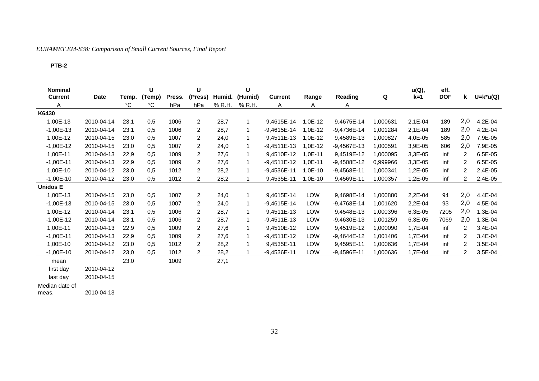## *EURAMET.EM-S38: Comparison of Small Current Sources, Final Report*

#### **PTB-2**

| <b>Nominal</b><br><b>Current</b> | <b>Date</b> | Temp. | U<br>(Temp) | Press. | U<br>(Press)   | Humid. | U<br>(Humid) | <b>Current</b> | Range     | Reading       | Q        | u(Q),<br>$k=1$ | eff.<br><b>DOF</b> | k.  | $U=$ k*u(Q) |
|----------------------------------|-------------|-------|-------------|--------|----------------|--------|--------------|----------------|-----------|---------------|----------|----------------|--------------------|-----|-------------|
| Α                                |             | °C    | °C          | hPa    | hPa            | % R.H. | % R.H.       | Α              | A         | A             |          |                |                    |     |             |
| K6430                            |             |       |             |        |                |        |              |                |           |               |          |                |                    |     |             |
| 1,00E-13                         | 2010-04-14  | 23,1  | 0,5         | 1006   | $\overline{c}$ | 28,7   | $\mathbf{1}$ | 9,4615E-14     | 1,0E-12   | 9,4675E-14    | 1,000631 | 2,1E-04        | 189                | 2,0 | 4,2E-04     |
| $-1,00E-13$                      | 2010-04-14  | 23,1  | 0,5         | 1006   | $\overline{c}$ | 28,7   | $\mathbf{1}$ | $-9,4615E-14$  | 1,0E-12   | $-9,4736E-14$ | 1,001284 | 2,1E-04        | 189                | 2,0 | 4,2E-04     |
| 1,00E-12                         | 2010-04-15  | 23,0  | 0.5         | 1007   | 2              | 24,0   | 1            | 9,4511E-13     | 1,0E-12   | 9,4589E-13    | 1,000827 | 4,0E-05        | 585                | 2,0 | 7,9E-05     |
| $-1,00E-12$                      | 2010-04-15  | 23,0  | 0,5         | 1007   | 2              | 24,0   | $\mathbf{1}$ | $-9,4511E-13$  | $1,0E-12$ | $-9,4567E-13$ | 1,000591 | 3,9E-05        | 606                | 2,0 | 7,9E-05     |
| 1,00E-11                         | 2010-04-13  | 22,9  | 0,5         | 1009   | 2              | 27,6   | $\mathbf 1$  | 9,4510E-12     | $1,0E-11$ | 9,4519E-12    | 1,000095 | $3,3E-05$      | inf                | 2   | 6,5E-05     |
| $-1,00E-11$                      | 2010-04-13  | 22,9  | 0,5         | 1009   | 2              | 27,6   | $\mathbf{1}$ | $-9,4511E-12$  | $1,0E-11$ | $-9,4508E-12$ | 0,999966 | $3,3E-05$      | inf                |     | 6,5E-05     |
| 1,00E-10                         | 2010-04-12  | 23,0  | 0,5         | 1012   | $\overline{c}$ | 28,2   | $\mathbf{1}$ | $-9,4536E-11$  | $1,0E-10$ | $-9,4568E-11$ | 1,000341 | 1,2E-05        | inf                | 2   | 2,4E-05     |
| $-1,00E-10$                      | 2010-04-12  | 23,0  | 0,5         | 1012   | $\overline{c}$ | 28,2   |              | 9,4535E-11     | $1,0E-10$ | 9,4569E-11    | 1,000357 | 1,2E-05        | inf                | 2   | 2,4E-05     |
| <b>Unidos E</b>                  |             |       |             |        |                |        |              |                |           |               |          |                |                    |     |             |
| 1,00E-13                         | 2010-04-15  | 23,0  | 0.5         | 1007   | $\overline{2}$ | 24,0   | 1            | 9,4615E-14     | LOW       | 9,4698E-14    | 1,000880 | 2,2E-04        | 94                 | 2,0 | 4,4E-04     |
| $-1,00E-13$                      | 2010-04-15  | 23,0  | 0,5         | 1007   | 2              | 24,0   | $\mathbf{1}$ | $-9,4615E-14$  | LOW       | $-9,4768E-14$ | 1,001620 | 2,2E-04        | 93                 | 2,0 | 4,5E-04     |
| 1,00E-12                         | 2010-04-14  | 23,1  | 0,5         | 1006   | 2              | 28,7   | $\mathbf{1}$ | 9,4511E-13     | LOW       | 9,4548E-13    | 1,000396 | 6,3E-05        | 7205               | 2,0 | 1,3E-04     |
| $-1,00E-12$                      | 2010-04-14  | 23,1  | 0,5         | 1006   | 2              | 28,7   | $\mathbf{1}$ | $-9,4511E-13$  | LOW       | $-9,4630E-13$ | 1,001259 | 6,3E-05        | 7069               | 2,0 | 1,3E-04     |
| 1,00E-11                         | 2010-04-13  | 22,9  | 0,5         | 1009   | 2              | 27,6   | 1            | 9.4510E-12     | LOW       | 9,4519E-12    | 1,000090 | 1,7E-04        | inf                | 2   | 3,4E-04     |
| $-1,00E-11$                      | 2010-04-13  | 22,9  | 0,5         | 1009   | $\overline{c}$ | 27,6   | 1            | $-9.4511E-12$  | LOW       | $-9,4644E-12$ | 1.001406 | 1,7E-04        | inf                | 2   | 3,4E-04     |
| 1,00E-10                         | 2010-04-12  | 23,0  | 0.5         | 1012   | $\overline{c}$ | 28,2   | 1            | 9,4535E-11     | LOW       | 9,4595E-11    | 1,000636 | 1,7E-04        | inf                | 2   | 3,5E-04     |
| $-1,00E-10$                      | 2010-04-12  | 23,0  | 0,5         | 1012   | $\overline{2}$ | 28,2   | 1            | $-9,4536E-11$  | LOW       | $-9,4596E-11$ | 1,000636 | 1,7E-04        | inf                | 2   | 3,5E-04     |
| mean                             |             | 23,0  |             | 1009   |                | 27,1   |              |                |           |               |          |                |                    |     |             |
| first day                        | 2010-04-12  |       |             |        |                |        |              |                |           |               |          |                |                    |     |             |
| last dav                         | 2010-04-15  |       |             |        |                |        |              |                |           |               |          |                |                    |     |             |

Median date of

meas. 2010-04-13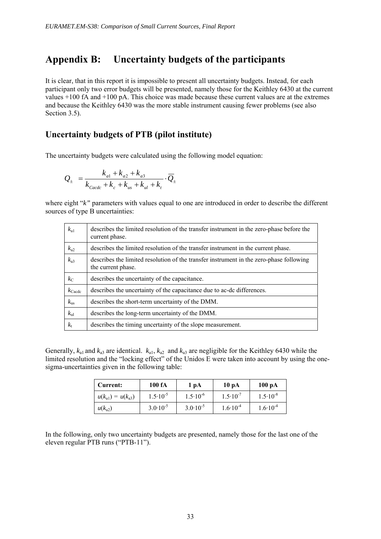# **Appendix B: Uncertainty budgets of the participants**

It is clear, that in this report it is impossible to present all uncertainty budgets. Instead, for each participant only two error budgets will be presented, namely those for the Keithley 6430 at the current values +100 fA and +100 pA. This choice was made because these current values are at the extremes and because the Keithley 6430 was the more stable instrument causing fewer problems (see also Section 3.5).

## **Uncertainty budgets of PTB (pilot institute)**

The uncertainty budgets were calculated using the following model equation:

$$
Q_{\pm} = \frac{k_{a1} + k_{a2} + k_{a3}}{k_{\text{Cacdc}} + k_{\text{c}} + k_{us} + k_{ul} + k_{t}} \cdot \overline{Q}_{\pm}
$$

where eight "*k*" parameters with values equal to one are introduced in order to describe the different sources of type B uncertainties:

| $k_{\rm a1}$       | describes the limited resolution of the transfer instrument in the zero-phase before the<br>current phase.    |
|--------------------|---------------------------------------------------------------------------------------------------------------|
| $k_{a2}$           | describes the limited resolution of the transfer instrument in the current phase.                             |
| $k_{a3}$           | describes the limited resolution of the transfer instrument in the zero-phase following<br>the current phase. |
| $k_{\rm C}$        | describes the uncertainty of the capacitance.                                                                 |
| $k_{\text{Cacdc}}$ | describes the uncertainty of the capacitance due to ac-dc differences.                                        |
| $k_{\rm us}$       | describes the short-term uncertainty of the DMM.                                                              |
| $k_{\rm ul}$       | describes the long-term uncertainty of the DMM.                                                               |
| $k_{\rm t}$        | describes the timing uncertainty of the slope measurement.                                                    |

Generally,  $k_{a1}$  and  $k_{a3}$  are identical.  $k_{a1}$ ,  $k_{a2}$  and  $k_{a3}$  are negligible for the Keithley 6430 while the limited resolution and the "locking effect" of the Unidos E were taken into account by using the onesigma-uncertainties given in the following table:

| Current:                | 100 fA              | 1 pA                | 10 pA               | $100\text{ pA}$     |
|-------------------------|---------------------|---------------------|---------------------|---------------------|
| $u(k_{a1}) = u(k_{a3})$ | $1.5 \cdot 10^{-5}$ | $1.5 \cdot 10^{-6}$ | $1.5 \cdot 10^{-7}$ | $1.5 \cdot 10^{-8}$ |
| $u(k_{a2})$             | $3.0 \cdot 10^{-5}$ | $3.0 \cdot 10^{-5}$ | $1.6 \cdot 10^{-4}$ | $1.6 \cdot 10^{-4}$ |

In the following, only two uncertainty budgets are presented, namely those for the last one of the eleven regular PTB runs ("PTB-11").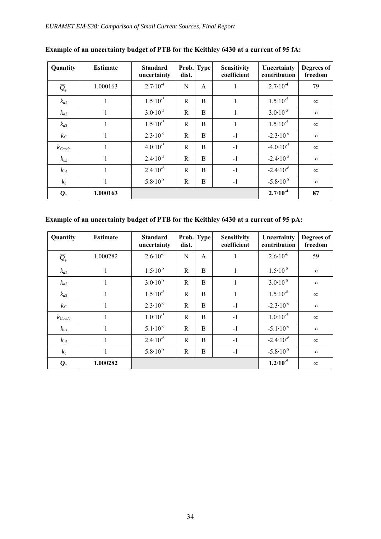| Quantity                                | <b>Estimate</b> | <b>Standard</b><br>uncertainty | dist. | Prob. Type   | <b>Sensitivity</b><br>coefficient | Uncertainty<br>contribution | Degrees of<br>freedom |
|-----------------------------------------|-----------------|--------------------------------|-------|--------------|-----------------------------------|-----------------------------|-----------------------|
| $\overline{Q}_{\!\scriptscriptstyle +}$ | 1.000163        | $2.7 \cdot 10^{-4}$            | N     | A            | -                                 | $2.7 \cdot 10^{-4}$         | 79                    |
| $k_{aI}$                                | $\mathbf{I}$    | $1.5 \cdot 10^{-5}$            | R     | B            | 1                                 | $1.5 \cdot 10^{-5}$         | $\infty$              |
| $k_{a2}$                                | 1               | $3.0 \cdot 10^{-5}$            | R     | B            | 1                                 | $3.0 \cdot 10^{-5}$         | $\infty$              |
| $k_{a3}$                                | 1               | $1.5 \cdot 10^{-5}$            | R     | B            | 1                                 | $1.5 \cdot 10^{-5}$         | $\infty$              |
| $k_C$                                   | 1               | $2.3 \cdot 10^{-6}$            | R     | B            | $-1$                              | $-2.3 \cdot 10^{-6}$        | $\infty$              |
| $k_{\text{Cacdc}}$                      | 1               | $4.0 \cdot 10^{-5}$            | R     | <sub>B</sub> | $-1$                              | $-4.0 \cdot 10^{-5}$        | $\infty$              |
| $k_{us}$                                | 1               | $2.4 \cdot 10^{-5}$            | R     | <sub>B</sub> | $-1$                              | $-2.4 \cdot 10^{-5}$        | $\infty$              |
| $k_{ul}$                                | 1               | $2.4 \cdot 10^{-6}$            | R     | <sub>B</sub> | $-1$                              | $-2.4 \cdot 10^{-6}$        | $\infty$              |
| $k_t$                                   | 1               | $5.8 \cdot 10^{-8}$            | R     | B            | $-1$                              | $-5.8 \cdot 10^{-8}$        | $\infty$              |
| $\mathbf{Q}_{+}$                        | 1.000163        |                                |       |              |                                   | $2.7 \cdot 10^{-4}$         | 87                    |

## **Example of an uncertainty budget of PTB for the Keithley 6430 at a current of 95 fA:**

## **Example of an uncertainty budget of PTB for the Keithley 6430 at a current of 95 pA:**

| Quantity                                | <b>Estimate</b> | <b>Standard</b><br>uncertainty | dist. | Prob. Type   | <b>Sensitivity</b><br>coefficient | Uncertainty<br>contribution | Degrees of<br>freedom |
|-----------------------------------------|-----------------|--------------------------------|-------|--------------|-----------------------------------|-----------------------------|-----------------------|
| $\overline{Q}_{\!\scriptscriptstyle +}$ | 1.000282        | $2.6 \cdot 10^{-6}$            | N     | $\mathsf{A}$ | 1                                 | $2.6 \cdot 10^{-6}$         | 59                    |
| $k_{aI}$                                | 1               | $1.5 \cdot 10^{-8}$            | R.    | B            | 1                                 | $1.5 \cdot 10^{-8}$         | $\infty$              |
| $k_{a2}$                                | 1               | $3.0 \cdot 10^{-8}$            | R     | B            | 1                                 | $3.0 \cdot 10^{-8}$         | $\infty$              |
| $k_{a3}$                                | 1               | $1.5 \cdot 10^{-8}$            | R.    | B            | $\mathbf{1}$                      | $1.5 \cdot 10^{-8}$         | $\infty$              |
| $k_C$                                   | 1               | $2.3 \cdot 10^{-6}$            | R.    | B            | $-1$                              | $-2.3 \cdot 10^{-6}$        | $\infty$              |
| $k_{\text{Cacdc}}$                      | 1               | $1.0 \cdot 10^{-5}$            | R     | B            | $-1$                              | $1.0 \cdot 10^{-5}$         | $\infty$              |
| $k_{us}$                                | 1               | $5.1 \cdot 10^{-6}$            | R     | B            | $-1$                              | $-5.1 \cdot 10^{-6}$        | $\infty$              |
| $k_{ul}$                                | 1               | $2.4 \cdot 10^{-6}$            | R     | B            | $-1$                              | $-2.4 \cdot 10^{-6}$        | $\infty$              |
| $k_t$                                   | 1               | $5.8 \cdot 10^{-8}$            | R     | B            | $-1$                              | $-5.8 \cdot 10^{-8}$        | $\infty$              |
| $\mathbf{Q}_{+}$                        | 1.000282        |                                |       |              |                                   | $1.2 \cdot 10^{-5}$         | $\infty$              |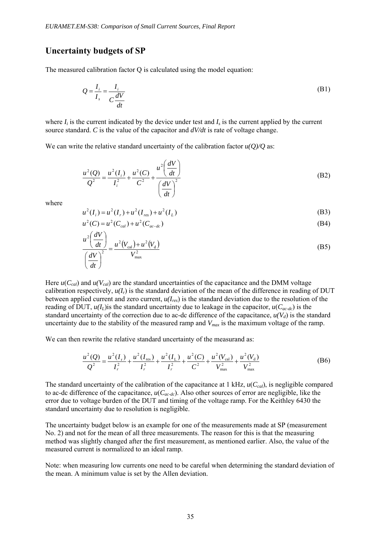## **Uncertainty budgets of SP**

The measured calibration factor O is calculated using the model equation:

$$
Q = \frac{I_i}{I_s} = \frac{I_i}{C\frac{dV}{dt}}
$$
(B1)

where  $I_i$  is the current indicated by the device under test and  $I_s$  is the current applied by the current source standard. *C* is the value of the capacitor and  $dV/dt$  is rate of voltage change.

We can write the relative standard uncertainty of the calibration factor *u(Q)/Q* as:

$$
\frac{u^2(Q)}{Q^2} = \frac{u^2(I_i)}{I_i^2} + \frac{u^2(C)}{C^2} + \frac{u^2\left(\frac{dV}{dt}\right)}{\left(\frac{dV}{dt}\right)^2}
$$
(B2)

where

$$
u^{2}(I_{i}) = u^{2}(I_{r}) + u^{2}(I_{res}) + u^{2}(I_{L})
$$
\n(B3)

$$
u^{2}(C) = u^{2}(C_{cal}) + u^{2}(C_{ac-de})
$$
\n
$$
u^{2}\left(\frac{dV}{d\mu}\right) = \frac{2\left(\frac{dV}{d\mu}\right) - \frac{2\left(\frac{dV}{d\mu}\right) - \frac{2\left(\frac{dV}{d\mu}\right)}{d\mu}}{2\mu}.
$$
\n(B4)

$$
\frac{u^2\left(\frac{dv}{dt}\right)}{\left(\frac{dV}{dt}\right)^2} = \frac{u^2\left(V_{\text{cal}}\right) + u^2\left(V_{\text{d}}\right)}{V_{\text{max}}^2} \tag{B5}
$$

Here  $u(C_{cal})$  and  $u(V_{cal})$  are the standard uncertainties of the capacitance and the DMM voltage calibration respectively,  $u(I_r)$  is the standard deviation of the mean of the difference in reading of DUT between applied current and zero current, *u(Ires*) is the standard deviation due to the resolution of the reading of DUT,  $u(I_L)$  is the standard uncertainty due to leakage in the capacitor,  $u(C_{ac-dc})$  is the standard uncertainty of the correction due to ac-dc difference of the capacitance,  $u(V_d)$  is the standard uncertainty due to the stability of the measured ramp and *Vmax* is the maximum voltage of the ramp.

We can then rewrite the relative standard uncertainty of the measurand as:

$$
\frac{u^2(Q)}{Q^2} = \frac{u^2(I_r)}{I_r^2} + \frac{u^2(I_{res})}{I_r^2} + \frac{u^2(I_L)}{I_r^2} + \frac{u^2(C)}{C^2} + \frac{u^2(V_{cal})}{V_{\text{max}}^2} + \frac{u^2(V_d)}{V_{\text{max}}^2}
$$
(B6)

The standard uncertainty of the calibration of the capacitance at 1 kHz, *u*(*Ccal*), is negligible compared to ac-dc difference of the capacitance, *u*(*Cac-dc*). Also other sources of error are negligible, like the error due to voltage burden of the DUT and timing of the voltage ramp. For the Keithley 6430 the standard uncertainty due to resolution is negligible.

The uncertainty budget below is an example for one of the measurements made at SP (measurement No. 2) and not for the mean of all three measurements. The reason for this is that the measuring method was slightly changed after the first measurement, as mentioned earlier. Also, the value of the measured current is normalized to an ideal ramp.

Note: when measuring low currents one need to be careful when determining the standard deviation of the mean. A minimum value is set by the Allen deviation.